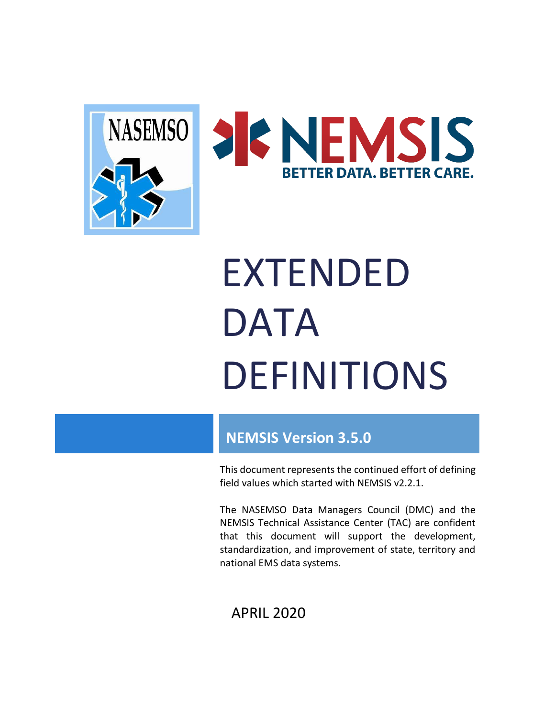



# EXTENDED DATA DEFINITIONS

# **NEMSIS Version 3.5.0**

This document represents the continued effort of defining field values which started with NEMSIS v2.2.1.

The NASEMSO Data Managers Council (DMC) and the NEMSIS Technical Assistance Center (TAC) are confident that this document will support the development, standardization, and improvement of state, territory and national EMS data systems.

APRIL 2020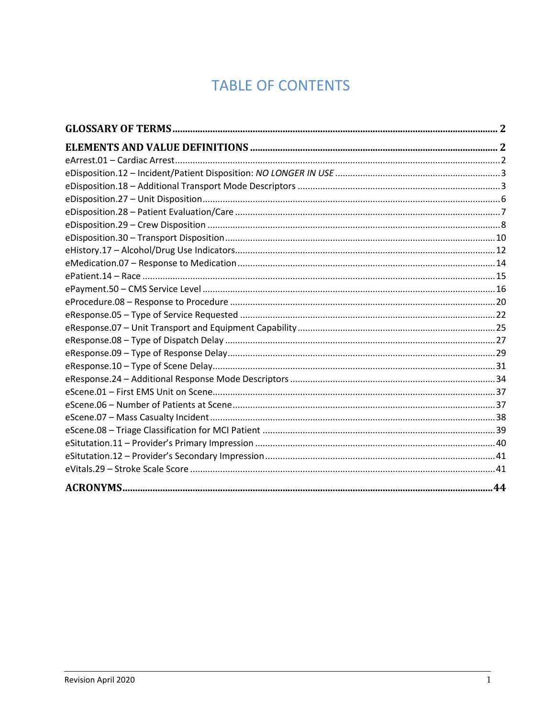# **TABLE OF CONTENTS**

<span id="page-1-0"></span>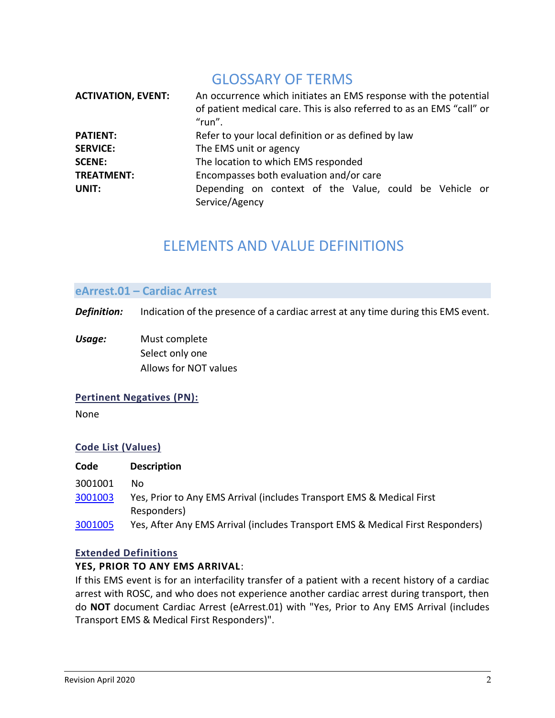# GLOSSARY OF TERMS

<span id="page-2-0"></span>

| <b>ACTIVATION, EVENT:</b> | An occurrence which initiates an EMS response with the potential<br>of patient medical care. This is also referred to as an EMS "call" or<br>"run". |
|---------------------------|-----------------------------------------------------------------------------------------------------------------------------------------------------|
| <b>PATIENT:</b>           | Refer to your local definition or as defined by law                                                                                                 |
| <b>SERVICE:</b>           | The EMS unit or agency                                                                                                                              |
| <b>SCENE:</b>             | The location to which EMS responded                                                                                                                 |
| <b>TREATMENT:</b>         | Encompasses both evaluation and/or care                                                                                                             |
| UNIT:                     | Depending on context of the Value, could be Vehicle or<br>Service/Agency                                                                            |

# ELEMENTS AND VALUE DEFINITIONS

#### <span id="page-2-2"></span><span id="page-2-1"></span>**eArrest.01 – Cardiac Arrest**

*Definition:* Indication of the presence of a cardiac arrest at any time during this EMS event.

*Usage:* Must complete Select only one Allows for NOT values

#### **Pertinent Negatives (PN):**

None

#### **Code List (Values)**

| Code    | <b>Description</b>                                                             |
|---------|--------------------------------------------------------------------------------|
| 3001001 | Nο                                                                             |
| 3001003 | Yes, Prior to Any EMS Arrival (includes Transport EMS & Medical First          |
|         | Responders)                                                                    |
| 3001005 | Yes, After Any EMS Arrival (includes Transport EMS & Medical First Responders) |

#### **Extended Definitions**

#### <span id="page-2-3"></span>**YES, PRIOR TO ANY EMS ARRIVAL**:

If this EMS event is for an interfacility transfer of a patient with a recent history of a cardiac arrest with ROSC, and who does not experience another cardiac arrest during transport, then do **NOT** document Cardiac Arrest (eArrest.01) with "Yes, Prior to Any EMS Arrival (includes Transport EMS & Medical First Responders)".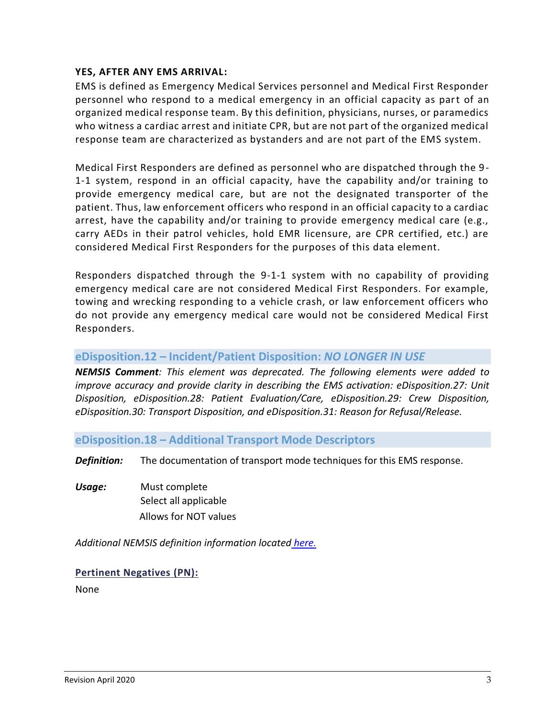## <span id="page-3-2"></span>**YES, AFTER ANY EMS ARRIVAL:**

EMS is defined as Emergency Medical Services personnel and Medical First Responder personnel who respond to a medical emergency in an official capacity as part of an organized medical response team. By this definition, physicians, nurses, or paramedics who witness a cardiac arrest and initiate CPR, but are not part of the organized medical response team are characterized as bystanders and are not part of the EMS system.

Medical First Responders are defined as personnel who are dispatched through the 9- 1-1 system, respond in an official capacity, have the capability and/or training to provide emergency medical care, but are not the designated transporter of the patient. Thus, law enforcement officers who respond in an official capacity to a cardiac arrest, have the capability and/or training to provide emergency medical care (e.g., carry AEDs in their patrol vehicles, hold EMR licensure, are CPR certified, etc.) are considered Medical First Responders for the purposes of this data element.

Responders dispatched through the 9-1-1 system with no capability of providing emergency medical care are not considered Medical First Responders. For example, towing and wrecking responding to a vehicle crash, or law enforcement officers who do not provide any emergency medical care would not be considered Medical First Responders.

# <span id="page-3-0"></span>**eDisposition.12 – Incident/Patient Disposition:** *NO LONGER IN USE*

*NEMSIS Comment: This element was deprecated. The following elements were added to improve accuracy and provide clarity in describing the EMS activation: eDisposition.27: Unit Disposition, eDisposition.28: Patient Evaluation/Care, eDisposition.29: Crew Disposition, eDisposition.30: Transport Disposition, and eDisposition.31: Reason for Refusal/Release.* 

# <span id="page-3-1"></span>**eDisposition.18 – Additional Transport Mode Descriptors**

*Definition:* The documentation of transport mode techniques for this EMS response.

*Usage:* Must complete Select all applicable Allows for NOT values

*Additional NEMSIS definition information located [here](http://nemsis.org/media/nemsis_v3/release-3.5.0/DataDictionary/PDFHTML/EMSDEMSTATE/sections/elements/eDisposition.18.xml).*

#### **Pertinent Negatives (PN):**

None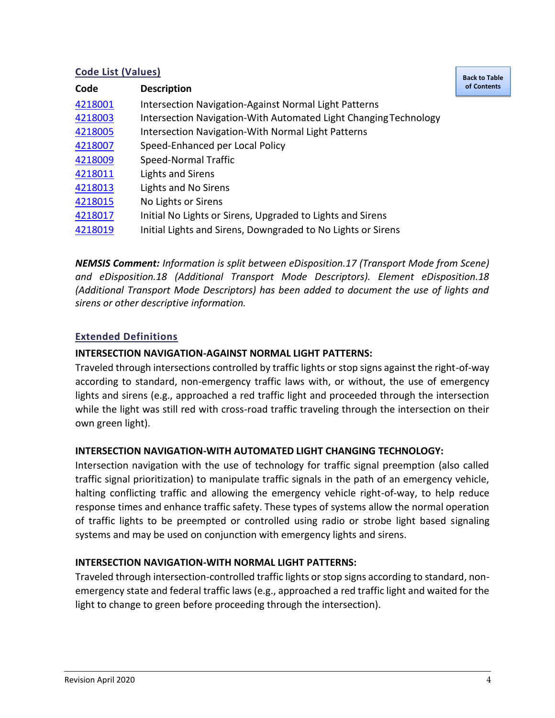# **Code List (Values)**

| Code    | <b>Description</b>                                               |  |
|---------|------------------------------------------------------------------|--|
| 4218001 | <b>Intersection Navigation-Against Normal Light Patterns</b>     |  |
| 4218003 | Intersection Navigation-With Automated Light Changing Technology |  |
| 4218005 | <b>Intersection Navigation-With Normal Light Patterns</b>        |  |
| 4218007 | Speed-Enhanced per Local Policy                                  |  |
| 4218009 | Speed-Normal Traffic                                             |  |
| 4218011 | Lights and Sirens                                                |  |
| 4218013 | Lights and No Sirens                                             |  |
| 4218015 | No Lights or Sirens                                              |  |
| 4218017 | Initial No Lights or Sirens, Upgraded to Lights and Sirens       |  |
| 4218019 | Initial Lights and Sirens, Downgraded to No Lights or Sirens     |  |

*NEMSIS Comment: Information is split between eDisposition.17 (Transport Mode from Scene) and eDisposition.18 (Additional Transport Mode Descriptors). Element eDisposition.18 (Additional Transport Mode Descriptors) has been added to document the use of lights and sirens or other descriptive information.*

# **Extended Definitions**

# <span id="page-4-0"></span>**INTERSECTION NAVIGATION-AGAINST NORMAL LIGHT PATTERNS:**

Traveled through intersections controlled by traffic lights or stop signs against the right-of-way according to standard, non-emergency traffic laws with, or without, the use of emergency lights and sirens (e.g., approached a red traffic light and proceeded through the intersection while the light was still red with cross-road traffic traveling through the intersection on their own green light).

# <span id="page-4-1"></span>**INTERSECTION NAVIGATION-WITH AUTOMATED LIGHT CHANGING TECHNOLOGY:**

Intersection navigation with the use of technology for traffic signal preemption (also called traffic signal prioritization) to manipulate traffic signals in the path of an emergency vehicle, halting conflicting traffic and allowing the emergency vehicle right-of-way, to help reduce response times and enhance traffic safety. These types of systems allow the normal operation of traffic lights to be preempted or controlled using radio or strobe light based signaling systems and may be used on conjunction with emergency lights and sirens.

# <span id="page-4-2"></span>**INTERSECTION NAVIGATION-WITH NORMAL LIGHT PATTERNS:**

Traveled through intersection-controlled traffic lights or stop signs according to standard, nonemergency state and federal traffic laws (e.g., approached a red traffic light and waited for the light to change to green before proceeding through the intersection).

**[Back to Table](#page-1-0)  of [Contents](#page-1-0)**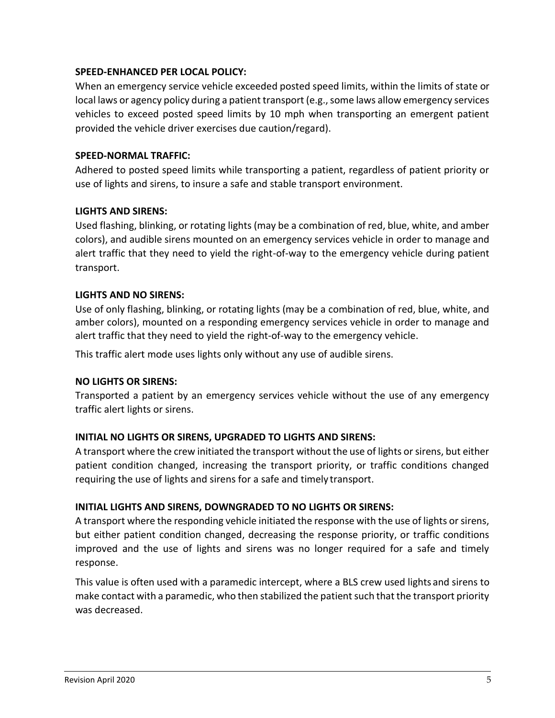# <span id="page-5-0"></span>**SPEED-ENHANCED PER LOCAL POLICY:**

When an emergency service vehicle exceeded posted speed limits, within the limits of state or local laws or agency policy during a patient transport (e.g., some laws allow emergency services vehicles to exceed posted speed limits by 10 mph when transporting an emergent patient provided the vehicle driver exercises due caution/regard).

# <span id="page-5-1"></span>**SPEED-NORMAL TRAFFIC:**

Adhered to posted speed limits while transporting a patient, regardless of patient priority or use of lights and sirens, to insure a safe and stable transport environment.

# <span id="page-5-2"></span>**LIGHTS AND SIRENS:**

Used flashing, blinking, or rotating lights (may be a combination of red, blue, white, and amber colors), and audible sirens mounted on an emergency services vehicle in order to manage and alert traffic that they need to yield the right-of-way to the emergency vehicle during patient transport.

# <span id="page-5-3"></span>**LIGHTS AND NO SIRENS:**

Use of only flashing, blinking, or rotating lights (may be a combination of red, blue, white, and amber colors), mounted on a responding emergency services vehicle in order to manage and alert traffic that they need to yield the right-of-way to the emergency vehicle.

This traffic alert mode uses lights only without any use of audible sirens.

# <span id="page-5-4"></span>**NO LIGHTS OR SIRENS:**

Transported a patient by an emergency services vehicle without the use of any emergency traffic alert lights or sirens.

# <span id="page-5-5"></span>**INITIAL NO LIGHTS OR SIRENS, UPGRADED TO LIGHTS AND SIRENS:**

A transport where the crew initiated the transport without the use of lights or sirens, but either patient condition changed, increasing the transport priority, or traffic conditions changed requiring the use of lights and sirens for a safe and timely transport.

# <span id="page-5-6"></span>**INITIAL LIGHTS AND SIRENS, DOWNGRADED TO NO LIGHTS OR SIRENS:**

A transport where the responding vehicle initiated the response with the use of lights or sirens, but either patient condition changed, decreasing the response priority, or traffic conditions improved and the use of lights and sirens was no longer required for a safe and timely response.

This value is often used with a paramedic intercept, where a BLS crew used lights and sirens to make contact with a paramedic, who then stabilized the patient such that the transport priority was decreased.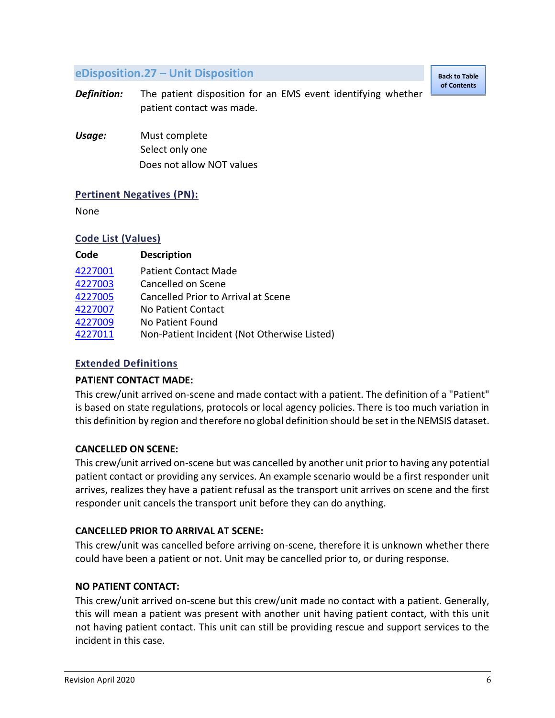# <span id="page-6-0"></span>**eDisposition.27 – Unit Disposition**

**[Back to Table](#page-1-0)  of Contents**

- *Definition:* The patient disposition for an EMS event identifying whether patient contact was made.
- *Usage:* Must complete Select only one Does not allow NOT values

# **Pertinent Negatives (PN):**

None

#### **Code List (Values)**

| Code    | <b>Description</b>                          |
|---------|---------------------------------------------|
| 4227001 | <b>Patient Contact Made</b>                 |
| 4227003 | Cancelled on Scene                          |
| 4227005 | Cancelled Prior to Arrival at Scene         |
| 4227007 | No Patient Contact                          |
| 4227009 | No Patient Found                            |
| 4227011 | Non-Patient Incident (Not Otherwise Listed) |
|         |                                             |

# **Extended Definitions**

#### <span id="page-6-1"></span>**PATIENT CONTACT MADE:**

This crew/unit arrived on-scene and made contact with a patient. The definition of a "Patient" is based on state regulations, protocols or local agency policies. There is too much variation in this definition by region and therefore no global definition should be set in the NEMSIS dataset.

# <span id="page-6-2"></span>**CANCELLED ON SCENE:**

This crew/unit arrived on-scene but was cancelled by another unit prior to having any potential patient contact or providing any services. An example scenario would be a first responder unit arrives, realizes they have a patient refusal as the transport unit arrives on scene and the first responder unit cancels the transport unit before they can do anything.

#### <span id="page-6-3"></span>**CANCELLED PRIOR TO ARRIVAL AT SCENE:**

This crew/unit was cancelled before arriving on-scene, therefore it is unknown whether there could have been a patient or not. Unit may be cancelled prior to, or during response.

#### <span id="page-6-4"></span>**NO PATIENT CONTACT:**

This crew/unit arrived on-scene but this crew/unit made no contact with a patient. Generally, this will mean a patient was present with another unit having patient contact, with this unit not having patient contact. This unit can still be providing rescue and support services to the incident in this case.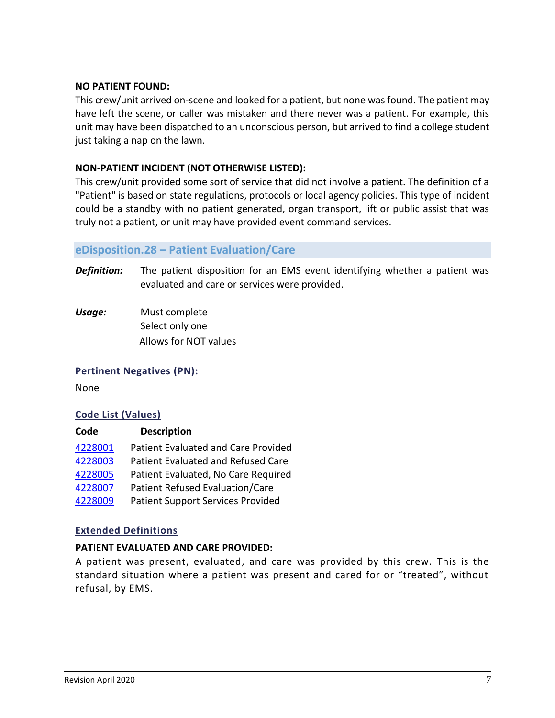#### <span id="page-7-1"></span>**NO PATIENT FOUND:**

This crew/unit arrived on-scene and looked for a patient, but none was found. The patient may have left the scene, or caller was mistaken and there never was a patient. For example, this unit may have been dispatched to an unconscious person, but arrived to find a college student just taking a nap on the lawn.

#### <span id="page-7-2"></span>**NON-PATIENT INCIDENT (NOT OTHERWISE LISTED):**

This crew/unit provided some sort of service that did not involve a patient. The definition of a "Patient" is based on state regulations, protocols or local agency policies. This type of incident could be a standby with no patient generated, organ transport, lift or public assist that was truly not a patient, or unit may have provided event command services.

#### <span id="page-7-0"></span>**eDisposition.28 – Patient Evaluation/Care**

- *Definition:* The patient disposition for an EMS event identifying whether a patient was evaluated and care or services were provided.
- *Usage:* Must complete Select only one Allows for NOT values

#### **Pertinent Negatives (PN):**

None

#### **Code List (Values)**

| Code    | <b>Description</b>                       |
|---------|------------------------------------------|
| 4228001 | Patient Evaluated and Care Provided      |
| 4228003 | Patient Evaluated and Refused Care       |
| 4228005 | Patient Evaluated, No Care Required      |
| 4228007 | Patient Refused Evaluation/Care          |
| 4228009 | <b>Patient Support Services Provided</b> |

#### **Extended Definitions**

#### <span id="page-7-3"></span>**PATIENT EVALUATED AND CARE PROVIDED:**

A patient was present, evaluated, and care was provided by this crew. This is the standard situation where a patient was present and cared for or "treated", without refusal, by EMS.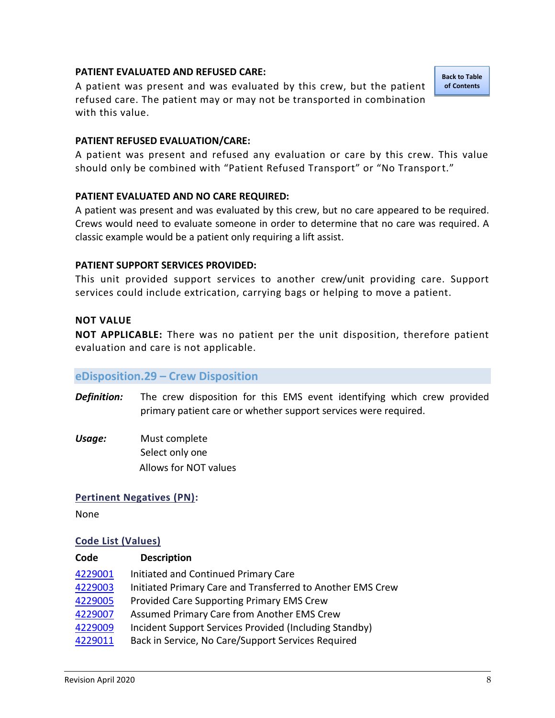#### <span id="page-8-1"></span>**PATIENT EVALUATED AND REFUSED CARE:**

A patient was present and was evaluated by this crew, but the patient refused care. The patient may or may not be transported in combination with this value.

**[Back to Table](#page-1-0)  of [Contents](#page-1-0)**

#### <span id="page-8-3"></span>**PATIENT REFUSED EVALUATION/CARE:**

A patient was present and refused any evaluation or care by this crew. This value should only be combined with "Patient Refused Transport" or "No Transport."

#### <span id="page-8-2"></span>**PATIENT EVALUATED AND NO CARE REQUIRED:**

A patient was present and was evaluated by this crew, but no care appeared to be required. Crews would need to evaluate someone in order to determine that no care was required. A classic example would be a patient only requiring a lift assist.

#### <span id="page-8-4"></span>**PATIENT SUPPORT SERVICES PROVIDED:**

This unit provided support services to another crew/unit providing care. Support services could include extrication, carrying bags or helping to move a patient.

#### **NOT VALUE**

**NOT APPLICABLE:** There was no patient per the unit disposition, therefore patient evaluation and care is not applicable.

#### <span id="page-8-0"></span>**eDisposition.29 – Crew Disposition**

- *Definition:* The crew disposition for this EMS event identifying which crew provided primary patient care or whether support services were required.
- *Usage:* Must complete Select only one Allows for NOT values

#### **Pertinent Negatives (PN):**

None

#### **Code List (Values)**

| Code    | <b>Description</b>                                         |
|---------|------------------------------------------------------------|
| 4229001 | Initiated and Continued Primary Care                       |
| 4229003 | Initiated Primary Care and Transferred to Another EMS Crew |
| 4229005 | Provided Care Supporting Primary EMS Crew                  |
| 4229007 | Assumed Primary Care from Another EMS Crew                 |
| 4229009 | Incident Support Services Provided (Including Standby)     |
| 4229011 | Back in Service, No Care/Support Services Required         |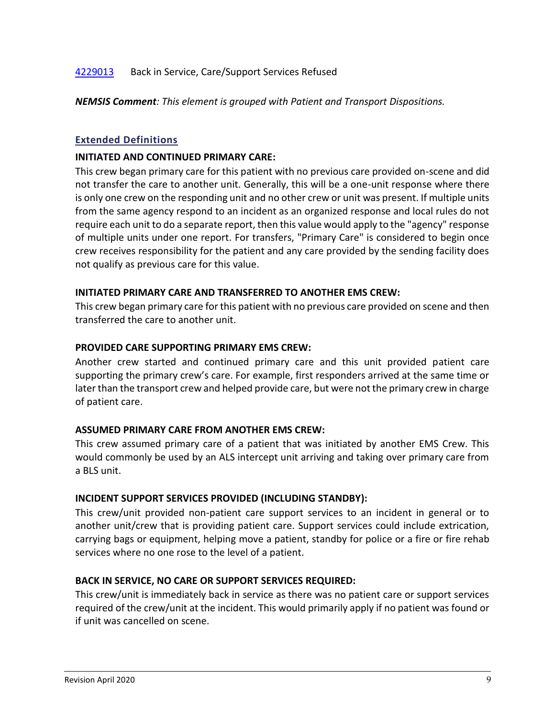# [4229013](#page-10-1) Back in Service, Care/Support Services Refused

*NEMSIS Comment: This element is grouped with Patient and Transport Dispositions.* 

#### **Extended Definitions**

#### <span id="page-9-0"></span>**INITIATED AND CONTINUED PRIMARY CARE:**

This crew began primary care for this patient with no previous care provided on-scene and did not transfer the care to another unit. Generally, this will be a one-unit response where there is only one crew on the responding unit and no other crew or unit was present. If multiple units from the same agency respond to an incident as an organized response and local rules do not require each unit to do a separate report, then this value would apply to the "agency" response of multiple units under one report. For transfers, "Primary Care" is considered to begin once crew receives responsibility for the patient and any care provided by the sending facility does not qualify as previous care for this value.

#### <span id="page-9-1"></span>**INITIATED PRIMARY CARE AND TRANSFERRED TO ANOTHER EMS CREW:**

This crew began primary care for this patient with no previous care provided on scene and then transferred the care to another unit.

#### <span id="page-9-2"></span>**PROVIDED CARE SUPPORTING PRIMARY EMS CREW:**

Another crew started and continued primary care and this unit provided patient care supporting the primary crew's care. For example, first responders arrived at the same time or later than the transport crew and helped provide care, but were not the primary crew in charge of patient care.

#### <span id="page-9-3"></span>**ASSUMED PRIMARY CARE FROM ANOTHER EMS CREW:**

This crew assumed primary care of a patient that was initiated by another EMS Crew. This would commonly be used by an ALS intercept unit arriving and taking over primary care from a BLS unit.

#### <span id="page-9-4"></span>**INCIDENT SUPPORT SERVICES PROVIDED (INCLUDING STANDBY):**

This crew/unit provided non-patient care support services to an incident in general or to another unit/crew that is providing patient care. Support services could include extrication, carrying bags or equipment, helping move a patient, standby for police or a fire or fire rehab services where no one rose to the level of a patient.

#### <span id="page-9-5"></span>**BACK IN SERVICE, NO CARE OR SUPPORT SERVICES REQUIRED:**

This crew/unit is immediately back in service as there was no patient care or support services required of the crew/unit at the incident. This would primarily apply if no patient was found or if unit was cancelled on scene.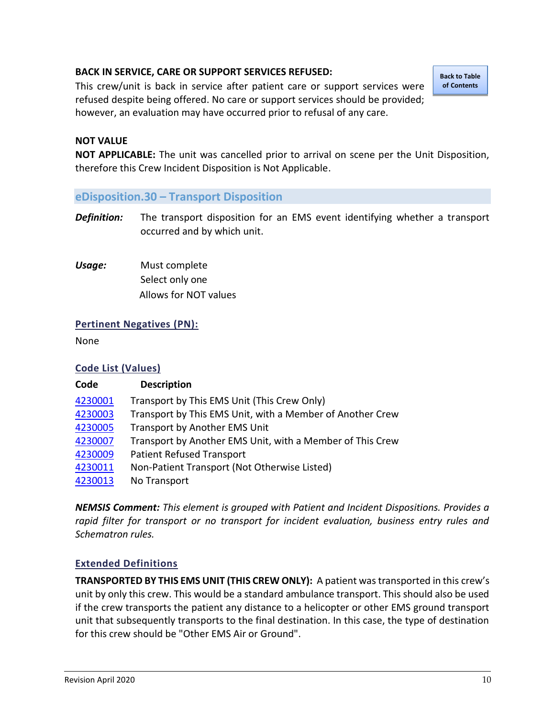# <span id="page-10-1"></span>**BACK IN SERVICE, CARE OR SUPPORT SERVICES REFUSED:**

This crew/unit is back in service after patient care or support services were refused despite being offered. No care or support services should be provided; however, an evaluation may have occurred prior to refusal of any care.

**[Back to Table](#page-1-0)  of Contents**

#### **NOT VALUE**

**NOT APPLICABLE:** The unit was cancelled prior to arrival on scene per the Unit Disposition, therefore this Crew Incident Disposition is Not Applicable.

#### <span id="page-10-0"></span>**eDisposition.30 – Transport Disposition**

*Definition:* The transport disposition for an EMS event identifying whether a transport occurred and by which unit.

*Usage:* Must complete Select only one Allows for NOT values

#### **Pertinent Negatives (PN):**

None

#### **Code List (Values)**

# **Code Description** [4230001](#page-10-2) Transport by This EMS Unit (This Crew Only) [4230003](#page-11-0) Transport by This EMS Unit, with a Member of Another Crew [4230005](#page-11-1) Transport by Another EMS Unit [4230007](#page-11-2) Transport by Another EMS Unit, with a Member of This Crew [4230009](#page-11-3) Patient Refused Transport [4230011](#page-11-4) Non-Patient Transport (Not Otherwise Listed) [4230013](#page-11-5) No Transport

*NEMSIS Comment: This element is grouped with Patient and Incident Dispositions. Provides a rapid filter for transport or no transport for incident evaluation, business entry rules and Schematron rules.*

# **Extended Definitions**

<span id="page-10-2"></span>**TRANSPORTED BY THIS EMS UNIT (THIS CREW ONLY):** A patient was transported in this crew's unit by only this crew. This would be a standard ambulance transport. This should also be used if the crew transports the patient any distance to a helicopter or other EMS ground transport unit that subsequently transports to the final destination. In this case, the type of destination for this crew should be "Other EMS Air or Ground".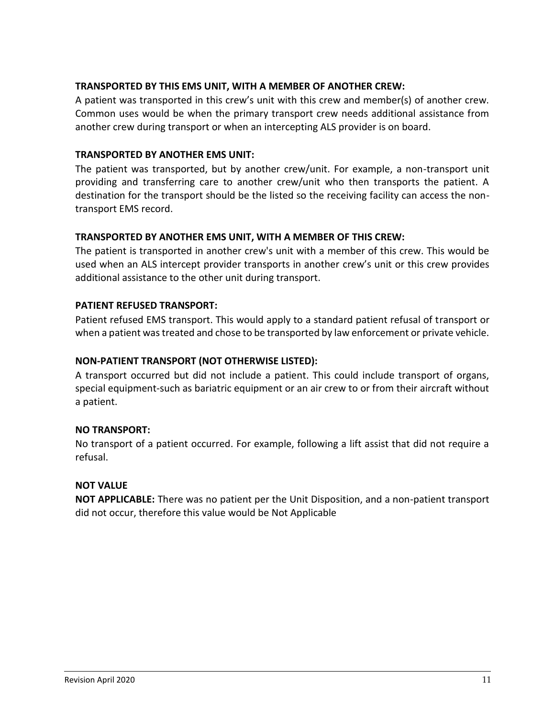# <span id="page-11-0"></span>**TRANSPORTED BY THIS EMS UNIT, WITH A MEMBER OF ANOTHER CREW:**

A patient was transported in this crew's unit with this crew and member(s) of another crew. Common uses would be when the primary transport crew needs additional assistance from another crew during transport or when an intercepting ALS provider is on board.

# <span id="page-11-1"></span>**TRANSPORTED BY ANOTHER EMS UNIT:**

The patient was transported, but by another crew/unit. For example, a non-transport unit providing and transferring care to another crew/unit who then transports the patient. A destination for the transport should be the listed so the receiving facility can access the nontransport EMS record.

#### <span id="page-11-2"></span>**TRANSPORTED BY ANOTHER EMS UNIT, WITH A MEMBER OF THIS CREW:**

The patient is transported in another crew's unit with a member of this crew. This would be used when an ALS intercept provider transports in another crew's unit or this crew provides additional assistance to the other unit during transport.

# <span id="page-11-3"></span>**PATIENT REFUSED TRANSPORT:**

Patient refused EMS transport. This would apply to a standard patient refusal of transport or when a patient was treated and chose to be transported by law enforcement or private vehicle.

## <span id="page-11-4"></span>**NON-PATIENT TRANSPORT (NOT OTHERWISE LISTED):**

A transport occurred but did not include a patient. This could include transport of organs, special equipment-such as bariatric equipment or an air crew to or from their aircraft without a patient.

#### <span id="page-11-5"></span>**NO TRANSPORT:**

No transport of a patient occurred. For example, following a lift assist that did not require a refusal.

#### **NOT VALUE**

**NOT APPLICABLE:** There was no patient per the Unit Disposition, and a non-patient transport did not occur, therefore this value would be Not Applicable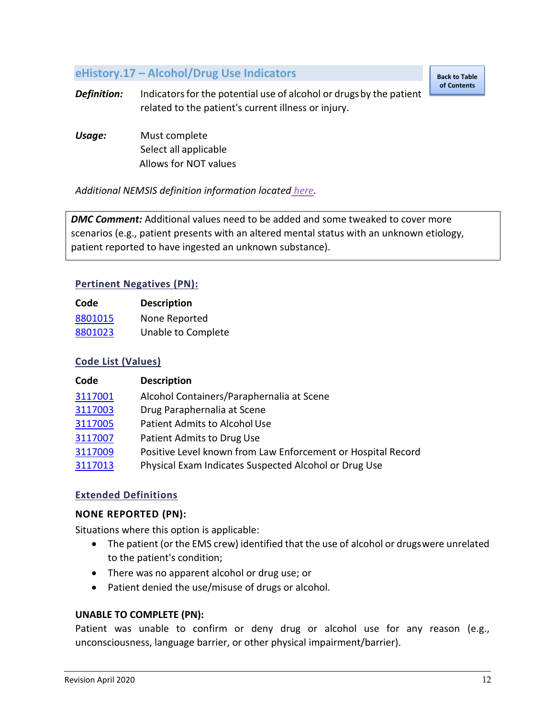# <span id="page-12-0"></span>**eHistory.17 – Alcohol/Drug Use Indicators**

**[Back to Table](#page-1-0)  of Contents**

**Definition:** Indicators for the potential use of alcohol or drugs by the patient related to the patient's current illness or injury.

*Usage:* Must complete Select all applicable Allows for NOT values

*Additional NEMSIS definition information located [here.](https://nemsis.org/media/nemsis_v3/release-3.5.0/DataDictionary/PDFHTML/EMSDEMSTATE/sections/elements/eHistory.17.xml)*

*DMC Comment:* Additional values need to be added and some tweaked to cover more scenarios (e.g., patient presents with an altered mental status with an unknown etiology, patient reported to have ingested an unknown substance).

# **Pertinent Negatives (PN):**

| Code    | <b>Description</b> |
|---------|--------------------|
| 8801015 | None Reported      |
| 8801023 | Unable to Complete |

# **Code List (Values)**

| Code    | <b>Description</b>                                           |
|---------|--------------------------------------------------------------|
| 3117001 | Alcohol Containers/Paraphernalia at Scene                    |
| 3117003 | Drug Paraphernalia at Scene                                  |
| 3117005 | <b>Patient Admits to Alcohol Use</b>                         |
| 3117007 | Patient Admits to Drug Use                                   |
| 3117009 | Positive Level known from Law Enforcement or Hospital Record |
| 3117013 | Physical Exam Indicates Suspected Alcohol or Drug Use        |

#### **Extended Definitions**

#### <span id="page-12-1"></span>**NONE REPORTED (PN):**

Situations where this option is applicable:

- The patient (or the EMS crew) identified that the use of alcohol or drugswere unrelated to the patient's condition;
- There was no apparent alcohol or drug use; or
- Patient denied the use/misuse of drugs or alcohol.

#### <span id="page-12-2"></span>**UNABLE TO COMPLETE (PN):**

Patient was unable to confirm or deny drug or alcohol use for any reason (e.g., unconsciousness, language barrier, or other physical impairment/barrier).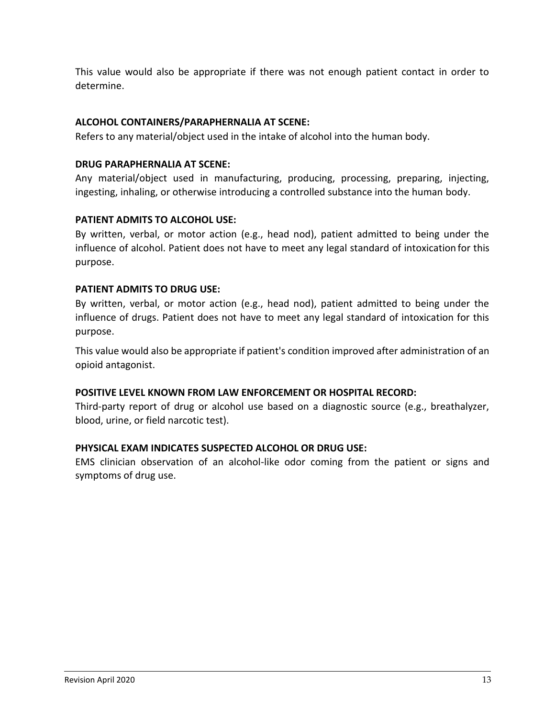This value would also be appropriate if there was not enough patient contact in order to determine.

# <span id="page-13-0"></span>**ALCOHOL CONTAINERS/PARAPHERNALIA AT SCENE:**

Refers to any material/object used in the intake of alcohol into the human body.

# <span id="page-13-1"></span>**DRUG PARAPHERNALIA AT SCENE:**

Any material/object used in manufacturing, producing, processing, preparing, injecting, ingesting, inhaling, or otherwise introducing a controlled substance into the human body.

# <span id="page-13-2"></span>**PATIENT ADMITS TO ALCOHOL USE:**

By written, verbal, or motor action (e.g., head nod), patient admitted to being under the influence of alcohol. Patient does not have to meet any legal standard of intoxication for this purpose.

# <span id="page-13-3"></span>**PATIENT ADMITS TO DRUG USE:**

By written, verbal, or motor action (e.g., head nod), patient admitted to being under the influence of drugs. Patient does not have to meet any legal standard of intoxication for this purpose.

This value would also be appropriate if patient's condition improved after administration of an opioid antagonist.

# <span id="page-13-4"></span>**POSITIVE LEVEL KNOWN FROM LAW ENFORCEMENT OR HOSPITAL RECORD:**

Third-party report of drug or alcohol use based on a diagnostic source (e.g., breathalyzer, blood, urine, or field narcotic test).

# <span id="page-13-5"></span>**PHYSICAL EXAM INDICATES SUSPECTED ALCOHOL OR DRUG USE:**

EMS clinician observation of an alcohol-like odor coming from the patient or signs and symptoms of drug use.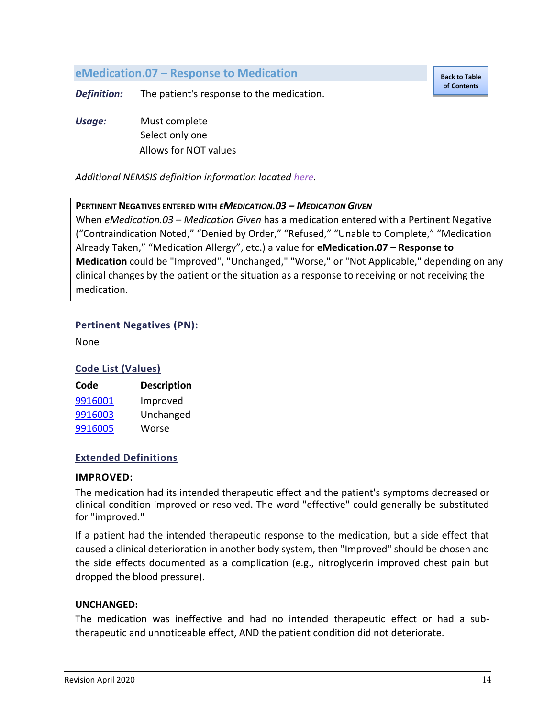# <span id="page-14-0"></span>**eMedication.07 – Response to Medication**

**[Back to Table](#page-1-0)  of [Contents](#page-1-0)**

*Definition:* The patient's response to the medication.

*Usage:* Must complete Select only one Allows for NOT values

*Additional NEMSIS definition information located [here.](https://nemsis.org/media/nemsis_v3/release-3.5.0/DataDictionary/PDFHTML/EMSDEMSTATE/sections/elements/eMedications.07.xml)*

#### **PERTINENT NEGATIVES ENTERED WITH** *EMEDICATION.03 – MEDICATION GIVEN*

When *eMedication.03 – Medication Given* has a medication entered with a Pertinent Negative ("Contraindication Noted," "Denied by Order," "Refused," "Unable to Complete," "Medication Already Taken," "Medication Allergy", etc.) a value for **eMedication.07 – Response to Medication** could be "Improved", "Unchanged," "Worse," or "Not Applicable," depending on any clinical changes by the patient or the situation as a response to receiving or not receiving the medication.

#### **Pertinent Negatives (PN):**

None

#### **Code List (Values)**

| Code    | <b>Description</b> |
|---------|--------------------|
| 9916001 | Improved           |
| 9916003 | Unchanged          |
| 9916005 | Worse              |

#### **Extended Definitions**

#### <span id="page-14-1"></span>**IMPROVED:**

The medication had its intended therapeutic effect and the patient's symptoms decreased or clinical condition improved or resolved. The word "effective" could generally be substituted for "improved."

If a patient had the intended therapeutic response to the medication, but a side effect that caused a clinical deterioration in another body system, then "Improved" should be chosen and the side effects documented as a complication (e.g., nitroglycerin improved chest pain but dropped the blood pressure).

#### <span id="page-14-2"></span>**UNCHANGED:**

The medication was ineffective and had no intended therapeutic effect or had a subtherapeutic and unnoticeable effect, AND the patient condition did not deteriorate.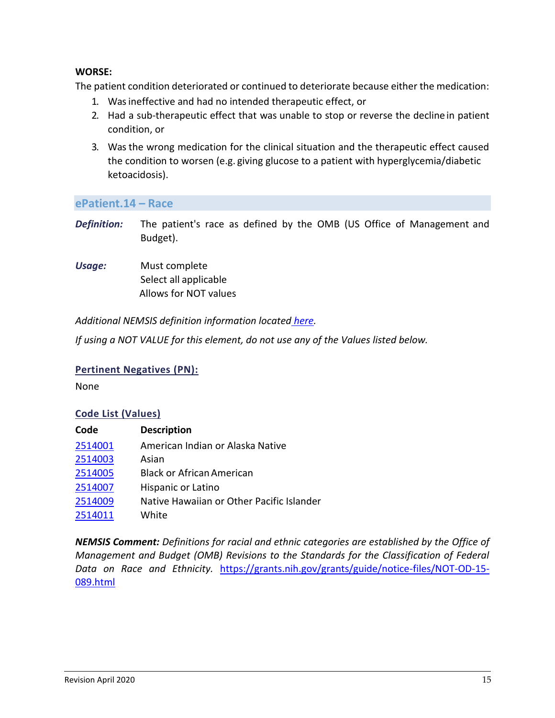# <span id="page-15-1"></span>**WORSE:**

The patient condition deteriorated or continued to deteriorate because either the medication:

- 1. Was ineffective and had no intended therapeutic effect, or
- 2. Had a sub-therapeutic effect that was unable to stop or reverse the decline in patient condition, or
- 3. Was the wrong medication for the clinical situation and the therapeutic effect caused the condition to worsen (e.g. giving glucose to a patient with hyperglycemia/diabetic ketoacidosis).

<span id="page-15-0"></span>**ePatient.14 – Race** 

- *Definition:* The patient's race as defined by the OMB (US Office of Management and Budget).
- *Usage:* Must complete Select all applicable Allows for NOT values

*Additional NEMSIS definition information located [here.](https://nemsis.org/media/nemsis_v3/release-3.5.0/DataDictionary/PDFHTML/EMSDEMSTATE/sections/elements/ePatient.14.xml)*

*If using a NOT VALUE for this element, do not use any of the Values listed below.*

# **Pertinent Negatives (PN):**

None

# **Code List (Values)**

| Code    | <b>Description</b>                        |
|---------|-------------------------------------------|
| 2514001 | American Indian or Alaska Native          |
| 2514003 | Asian                                     |
| 2514005 | <b>Black or African American</b>          |
| 2514007 | Hispanic or Latino                        |
| 2514009 | Native Hawaiian or Other Pacific Islander |
| 2514011 | White                                     |

*NEMSIS Comment: Definitions for racial and ethnic categories are established by the Office of Management and Budget (OMB) Revisions to the Standards for the Classification of Federal Data on Race and Ethnicity.* [https://grants.nih.gov/grants/guide/notice-files/NOT-OD-15-](https://grants.nih.gov/grants/guide/notice-files/NOT-OD-15-089.html) [089.html](https://grants.nih.gov/grants/guide/notice-files/NOT-OD-15-089.html)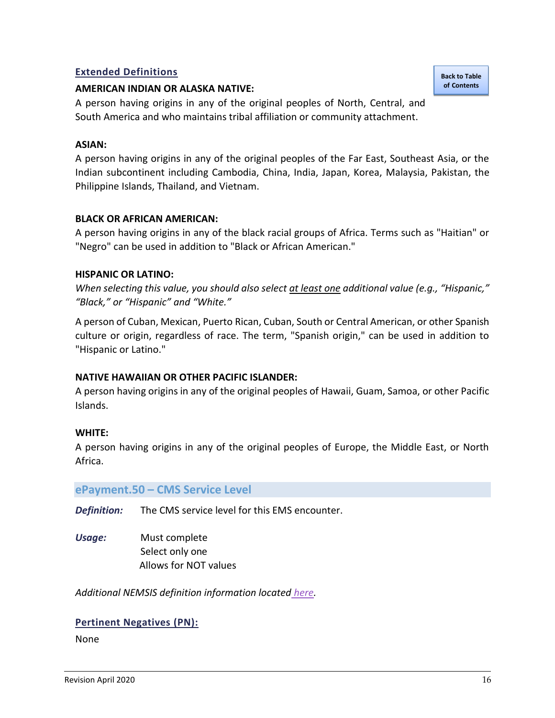# **Extended Definitions**

#### <span id="page-16-1"></span>**AMERICAN INDIAN OR ALASKA NATIVE:**

A person having origins in any of the original peoples of North, Central, and South America and who maintains tribal affiliation or community attachment.

#### <span id="page-16-2"></span>**ASIAN:**

A person having origins in any of the original peoples of the Far East, Southeast Asia, or the Indian subcontinent including Cambodia, China, India, Japan, Korea, Malaysia, Pakistan, the Philippine Islands, Thailand, and Vietnam.

#### <span id="page-16-3"></span>**BLACK OR AFRICAN AMERICAN:**

A person having origins in any of the black racial groups of Africa. Terms such as "Haitian" or "Negro" can be used in addition to "Black or African American."

#### <span id="page-16-4"></span>**HISPANIC OR LATINO:**

*When selecting this value, you should also select at least one additional value (e.g., "Hispanic," "Black," or "Hispanic" and "White."*

A person of Cuban, Mexican, Puerto Rican, Cuban, South or Central American, or other Spanish culture or origin, regardless of race. The term, "Spanish origin," can be used in addition to "Hispanic or Latino."

#### <span id="page-16-5"></span>**NATIVE HAWAIIAN OR OTHER PACIFIC ISLANDER:**

A person having origins in any of the original peoples of Hawaii, Guam, Samoa, or other Pacific Islands.

#### <span id="page-16-6"></span>**WHITE:**

A person having origins in any of the original peoples of Europe, the Middle East, or North Africa.

#### <span id="page-16-0"></span>**ePayment.50 – CMS Service Level**

*Definition:* The CMS service level for this EMS encounter.

*Usage:* Must complete Select only one Allows for NOT values

*Additional NEMSIS definition information located [here.](https://nemsis.org/media/nemsis_v3/release-3.5.0/DataDictionary/PDFHTML/EMSDEMSTATE/sections/elements/ePayment.50.xml)*

#### **Pertinent Negatives (PN):**

None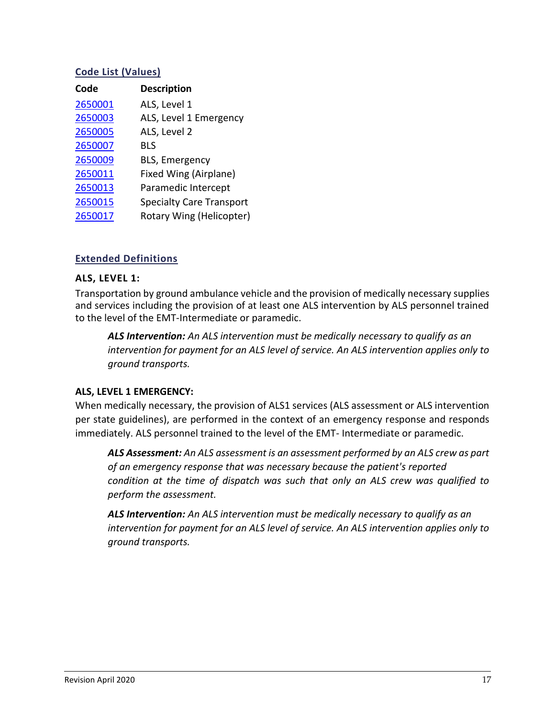## **Code List (Values)**

| Code    | <b>Description</b>              |
|---------|---------------------------------|
| 2650001 | ALS, Level 1                    |
| 2650003 | ALS, Level 1 Emergency          |
| 2650005 | ALS, Level 2                    |
| 2650007 | <b>BLS</b>                      |
| 2650009 | <b>BLS, Emergency</b>           |
| 2650011 | Fixed Wing (Airplane)           |
| 2650013 | Paramedic Intercept             |
| 2650015 | <b>Specialty Care Transport</b> |
| 2650017 | Rotary Wing (Helicopter)        |
|         |                                 |

# **Extended Definitions**

#### <span id="page-17-0"></span>**ALS, LEVEL 1:**

Transportation by ground ambulance vehicle and the provision of medically necessary supplies and services including the provision of at least one ALS intervention by ALS personnel trained to the level of the EMT-Intermediate or paramedic.

*ALS Intervention: An ALS intervention must be medically necessary to qualify as an intervention for payment for an ALS level of service. An ALS intervention applies only to ground transports.*

#### <span id="page-17-1"></span>**ALS, LEVEL 1 EMERGENCY:**

When medically necessary, the provision of ALS1 services (ALS assessment or ALS intervention per state guidelines), are performed in the context of an emergency response and responds immediately. ALS personnel trained to the level of the EMT- Intermediate or paramedic.

*ALS Assessment: An ALS assessment is an assessment performed by an ALS crew as part of an emergency response that was necessary because the patient's reported condition at the time of dispatch was such that only an ALS crew was qualified to perform the assessment.*

*ALS Intervention: An ALS intervention must be medically necessary to qualify as an intervention for payment for an ALS level of service. An ALS intervention applies only to ground transports.*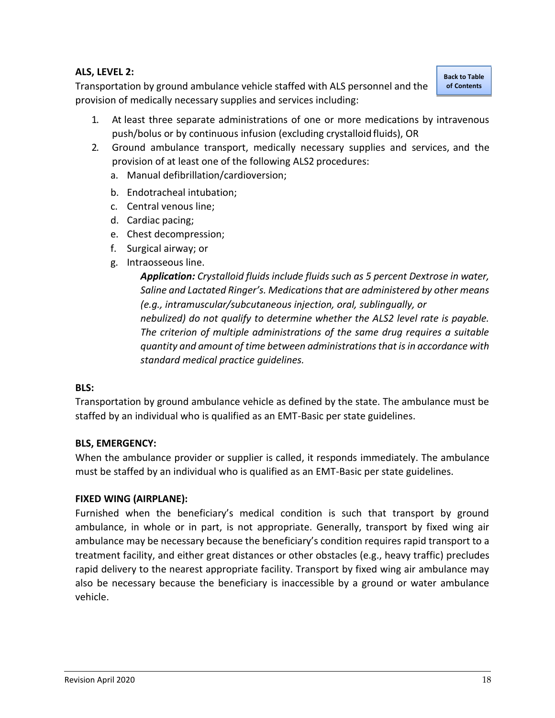# <span id="page-18-0"></span>**ALS, LEVEL 2:**

Transportation by ground ambulance vehicle staffed with ALS personnel and the provision of medically necessary supplies and services including:

**[Back to Table](#page-1-0)  of [Contents](#page-1-0)**

- 1. At least three separate administrations of one or more medications by intravenous push/bolus or by continuous infusion (excluding crystalloid fluids), OR
- 2. Ground ambulance transport, medically necessary supplies and services, and the provision of at least one of the following ALS2 procedures:
	- a. Manual defibrillation/cardioversion;
	- b. Endotracheal intubation;
	- c. Central venous line;
	- d. Cardiac pacing;
	- e. Chest decompression;
	- f. Surgical airway; or
	- g. Intraosseous line.

*Application: Crystalloid fluids include fluids such as 5 percent Dextrose in water, Saline and Lactated Ringer's. Medications that are administered by other means (e.g., intramuscular/subcutaneous injection, oral, sublingually, or nebulized) do not qualify to determine whether the ALS2 level rate is payable. The criterion of multiple administrations of the same drug requires a suitable quantity and amount of time between administrations that is in accordance with standard medical practice guidelines.*

#### <span id="page-18-1"></span>**BLS:**

Transportation by ground ambulance vehicle as defined by the state. The ambulance must be staffed by an individual who is qualified as an EMT-Basic per state guidelines.

# <span id="page-18-2"></span>**BLS, EMERGENCY:**

When the ambulance provider or supplier is called, it responds immediately. The ambulance must be staffed by an individual who is qualified as an EMT-Basic per state guidelines.

# <span id="page-18-3"></span>**FIXED WING (AIRPLANE):**

Furnished when the beneficiary's medical condition is such that transport by ground ambulance, in whole or in part, is not appropriate. Generally, transport by fixed wing air ambulance may be necessary because the beneficiary's condition requires rapid transport to a treatment facility, and either great distances or other obstacles (e.g., heavy traffic) precludes rapid delivery to the nearest appropriate facility. Transport by fixed wing air ambulance may also be necessary because the beneficiary is inaccessible by a ground or water ambulance vehicle.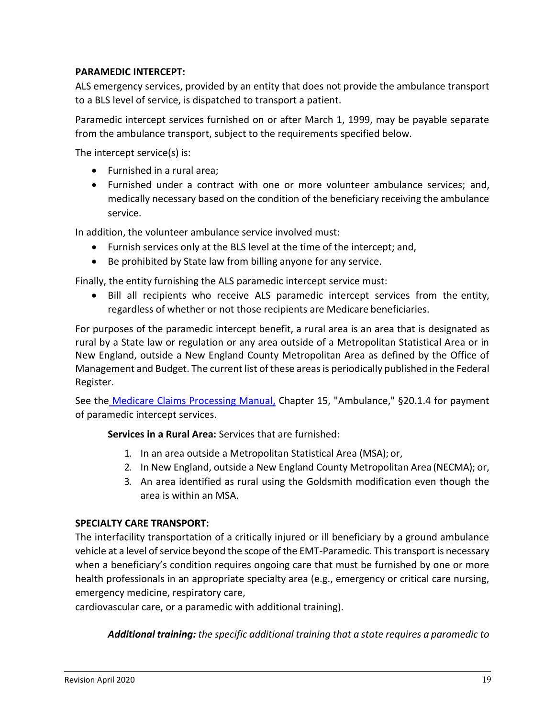# <span id="page-19-0"></span>**PARAMEDIC INTERCEPT:**

ALS emergency services, provided by an entity that does not provide the ambulance transport to a BLS level of service, is dispatched to transport a patient.

Paramedic intercept services furnished on or after March 1, 1999, may be payable separate from the ambulance transport, subject to the requirements specified below.

The intercept service(s) is:

- Furnished in a rural area;
- Furnished under a contract with one or more volunteer ambulance services; and, medically necessary based on the condition of the beneficiary receiving the ambulance service.

In addition, the volunteer ambulance service involved must:

- Furnish services only at the BLS level at the time of the intercept; and,
- Be prohibited by State law from billing anyone for any service.

Finally, the entity furnishing the ALS paramedic intercept service must:

• Bill all recipients who receive ALS paramedic intercept services from the entity, regardless of whether or not those recipients are Medicare beneficiaries.

For purposes of the paramedic intercept benefit, a rural area is an area that is designated as rural by a State law or regulation or any area outside of a Metropolitan Statistical Area or in New England, outside a New England County Metropolitan Area as defined by the Office of Management and Budget. The current list of these areas is periodically published in the Federal Register.

See the [Medicare Claims Processing Manual,](https://www.cms.gov/Regulations-and-Guidance/Guidance/Manuals/Downloads/clm104c15.pdf) Chapter 15, "Ambulance," §20.1.4 for payment of paramedic intercept services.

**Services in a Rural Area:** Services that are furnished:

- 1. In an area outside a Metropolitan Statistical Area (MSA); or,
- 2. In New England, outside a New England County Metropolitan Area (NECMA); or,
- 3. An area identified as rural using the Goldsmith modification even though the area is within an MSA.

#### <span id="page-19-1"></span>**SPECIALTY CARE TRANSPORT:**

The interfacility transportation of a critically injured or ill beneficiary by a ground ambulance vehicle at a level of service beyond the scope of the EMT-Paramedic. This transport is necessary when a beneficiary's condition requires ongoing care that must be furnished by one or more health professionals in an appropriate specialty area (e.g., emergency or critical care nursing, emergency medicine, respiratory care,

cardiovascular care, or a paramedic with additional training).

*Additional training: the specific additional training that a state requires a paramedic to*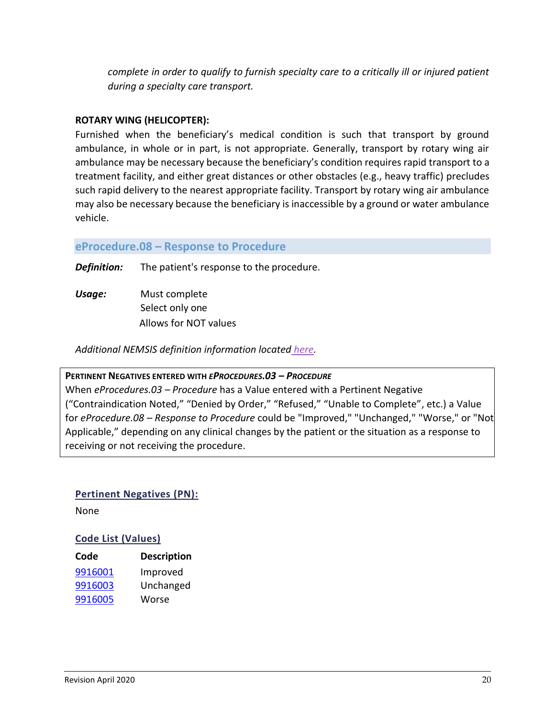*complete in order to qualify to furnish specialty care to a critically ill or injured patient during a specialty care transport.*

# <span id="page-20-1"></span>**ROTARY WING (HELICOPTER):**

Furnished when the beneficiary's medical condition is such that transport by ground ambulance, in whole or in part, is not appropriate. Generally, transport by rotary wing air ambulance may be necessary because the beneficiary's condition requires rapid transport to a treatment facility, and either great distances or other obstacles (e.g., heavy traffic) precludes such rapid delivery to the nearest appropriate facility. Transport by rotary wing air ambulance may also be necessary because the beneficiary is inaccessible by a ground or water ambulance vehicle.

# <span id="page-20-0"></span>**eProcedure.08 – Response to Procedure**

*Definition:* The patient's response to the procedure.

*Usage:* Must complete Select only one Allows for NOT values

*Additional NEMSIS definition information located [here.](https://nemsis.org/media/nemsis_v3/release-3.5.0/DataDictionary/PDFHTML/EMSDEMSTATE/sections/elements/eProcedures.08.xml)*

# **PERTINENT NEGATIVES ENTERED WITH** *EPROCEDURES.03 – PROCEDURE*

When *eProcedures.03 – Procedure* has a Value entered with a Pertinent Negative ("Contraindication Noted," "Denied by Order," "Refused," "Unable to Complete", etc.) a Value for *eProcedure.08 – Response to Procedure* could be "Improved," "Unchanged," "Worse," or "Not Applicable," depending on any clinical changes by the patient or the situation as a response to receiving or not receiving the procedure.

# **Pertinent Negatives (PN):**

None

# **Code List (Values)**

| Code    | <b>Description</b> |
|---------|--------------------|
| 9916001 | Improved           |
| 9916003 | Unchanged          |
| 9916005 | Worse              |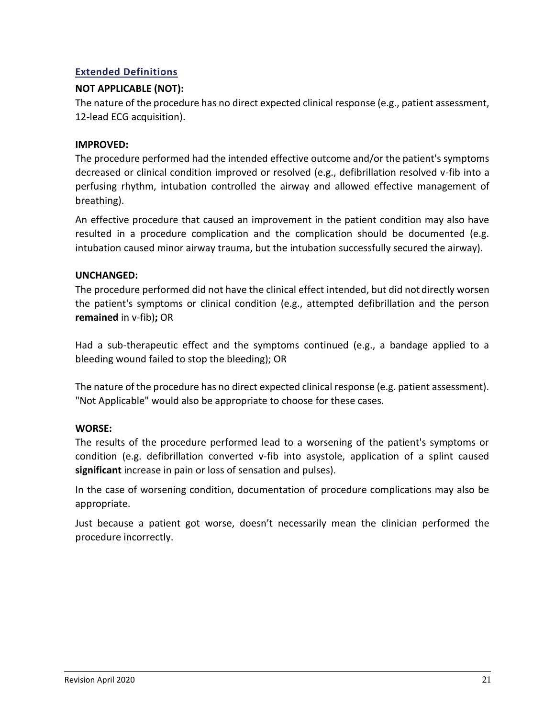# **Extended Definitions**

# **NOT APPLICABLE (NOT):**

The nature of the procedure has no direct expected clinical response (e.g., patient assessment, 12-lead ECG acquisition).

# <span id="page-21-0"></span>**IMPROVED:**

The procedure performed had the intended effective outcome and/or the patient's symptoms decreased or clinical condition improved or resolved (e.g., defibrillation resolved v-fib into a perfusing rhythm, intubation controlled the airway and allowed effective management of breathing).

An effective procedure that caused an improvement in the patient condition may also have resulted in a procedure complication and the complication should be documented (e.g. intubation caused minor airway trauma, but the intubation successfully secured the airway).

# <span id="page-21-1"></span>**UNCHANGED:**

The procedure performed did not have the clinical effect intended, but did not directly worsen the patient's symptoms or clinical condition (e.g., attempted defibrillation and the person **remained** in v-fib)**;** OR

Had a sub-therapeutic effect and the symptoms continued (e.g., a bandage applied to a bleeding wound failed to stop the bleeding); OR

The nature of the procedure has no direct expected clinical response (e.g. patient assessment). "Not Applicable" would also be appropriate to choose for these cases.

# <span id="page-21-2"></span>**WORSE:**

The results of the procedure performed lead to a worsening of the patient's symptoms or condition (e.g. defibrillation converted v-fib into asystole, application of a splint caused **significant** increase in pain or loss of sensation and pulses).

In the case of worsening condition, documentation of procedure complications may also be appropriate.

Just because a patient got worse, doesn't necessarily mean the clinician performed the procedure incorrectly.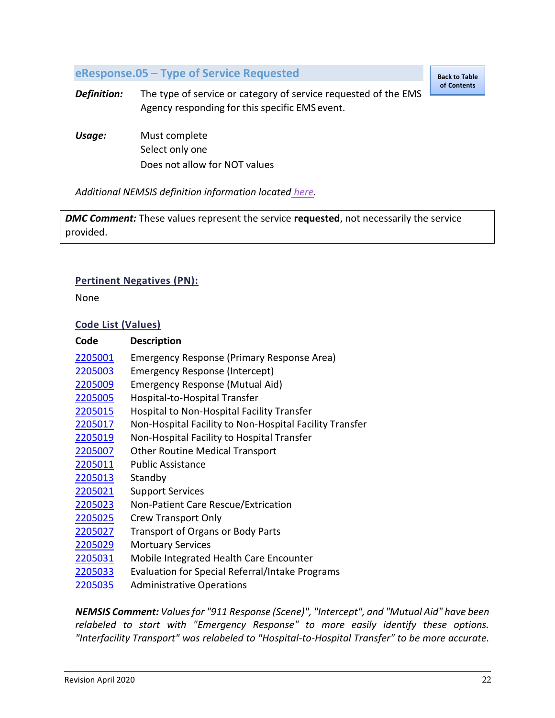# <span id="page-22-0"></span>**eResponse.05 – Type of Service Requested**

**[Back to Table](#page-1-0)  of Contents**

*Definition:* The type of service or category of service requested of the EMS Agency responding for this specific EMS event.

*Usage:* Must complete Select only one Does not allow for NOT values

*Additional NEMSIS definition information located [here.](https://nemsis.org/media/nemsis_v3/release-3.5.0/DataDictionary/PDFHTML/EMSDEMSTATE/sections/elements/eResponse.05.xml)*

*DMC Comment:* These values represent the service **requested**, not necessarily the service provided.

# **Pertinent Negatives (PN):**

None

#### **Code List (Values)**

| Code    | <b>Description</b>                                      |
|---------|---------------------------------------------------------|
| 2205001 | Emergency Response (Primary Response Area)              |
| 2205003 | Emergency Response (Intercept)                          |
| 2205009 | Emergency Response (Mutual Aid)                         |
| 2205005 | Hospital-to-Hospital Transfer                           |
| 2205015 | Hospital to Non-Hospital Facility Transfer              |
| 2205017 | Non-Hospital Facility to Non-Hospital Facility Transfer |
| 2205019 | Non-Hospital Facility to Hospital Transfer              |
| 2205007 | <b>Other Routine Medical Transport</b>                  |
| 2205011 | <b>Public Assistance</b>                                |
| 2205013 | Standby                                                 |
| 2205021 | <b>Support Services</b>                                 |
| 2205023 | Non-Patient Care Rescue/Extrication                     |
| 2205025 | <b>Crew Transport Only</b>                              |
| 2205027 | <b>Transport of Organs or Body Parts</b>                |
| 2205029 | <b>Mortuary Services</b>                                |
| 2205031 | Mobile Integrated Health Care Encounter                 |
| 2205033 | Evaluation for Special Referral/Intake Programs         |
| 2205035 | <b>Administrative Operations</b>                        |

*NEMSIS Comment: Values for "911 Response (Scene)", "Intercept", and "Mutual Aid" have been relabeled to start with "Emergency Response" to more easily identify these options. "Interfacility Transport" was relabeled to "Hospital-to-Hospital Transfer" to be more accurate.*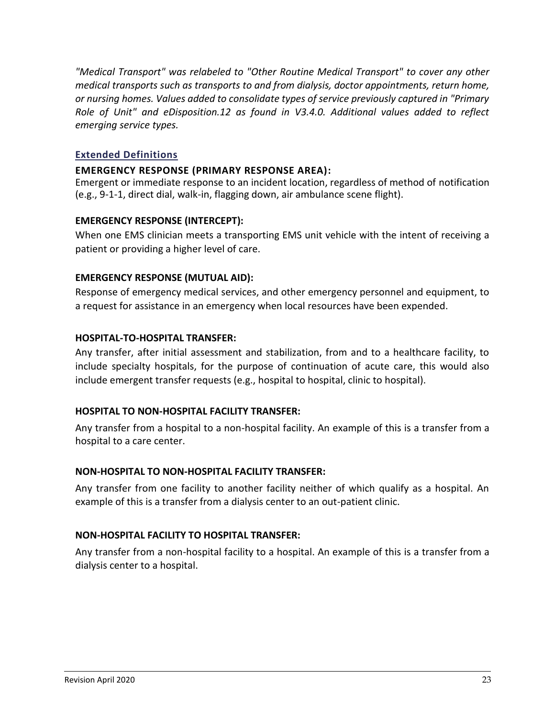*"Medical Transport" was relabeled to "Other Routine Medical Transport" to cover any other medical transports such as transports to and from dialysis, doctor appointments, return home, or nursing homes. Values added to consolidate types of service previously captured in "Primary Role of Unit" and eDisposition.12 as found in V3.4.0. Additional values added to reflect emerging service types.*

# **Extended Definitions**

#### <span id="page-23-0"></span>**EMERGENCY RESPONSE (PRIMARY RESPONSE AREA):**

Emergent or immediate response to an incident location, regardless of method of notification (e.g., 9-1-1, direct dial, walk-in, flagging down, air ambulance scene flight).

# <span id="page-23-1"></span>**EMERGENCY RESPONSE (INTERCEPT):**

When one EMS clinician meets a transporting EMS unit vehicle with the intent of receiving a patient or providing a higher level of care.

#### <span id="page-23-2"></span>**EMERGENCY RESPONSE (MUTUAL AID):**

Response of emergency medical services, and other emergency personnel and equipment, to a request for assistance in an emergency when local resources have been expended.

#### <span id="page-23-3"></span>**HOSPITAL-TO-HOSPITAL TRANSFER:**

Any transfer, after initial assessment and stabilization, from and to a healthcare facility, to include specialty hospitals, for the purpose of continuation of acute care, this would also include emergent transfer requests (e.g., hospital to hospital, clinic to hospital).

#### <span id="page-23-4"></span>**HOSPITAL TO NON-HOSPITAL FACILITY TRANSFER:**

Any transfer from a hospital to a non-hospital facility. An example of this is a transfer from a hospital to a care center.

#### <span id="page-23-5"></span>**NON-HOSPITAL TO NON-HOSPITAL FACILITY TRANSFER:**

Any transfer from one facility to another facility neither of which qualify as a hospital. An example of this is a transfer from a dialysis center to an out-patient clinic.

#### <span id="page-23-6"></span>**NON-HOSPITAL FACILITY TO HOSPITAL TRANSFER:**

Any transfer from a non-hospital facility to a hospital. An example of this is a transfer from a dialysis center to a hospital.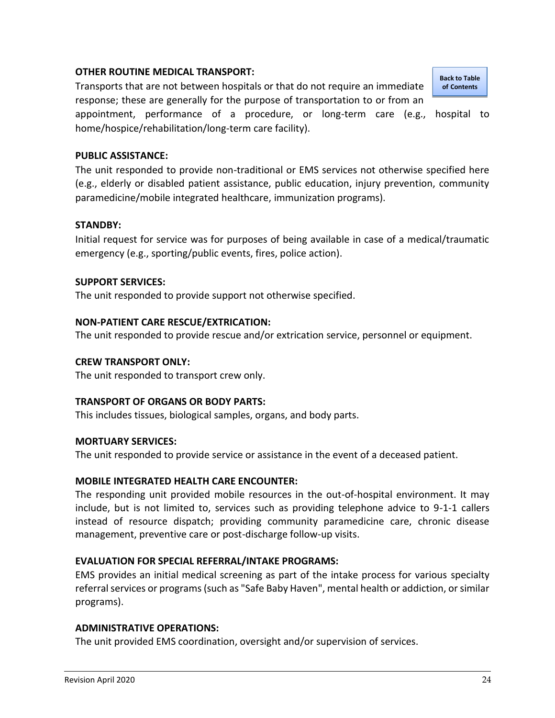## <span id="page-24-0"></span>**OTHER ROUTINE MEDICAL TRANSPORT:**

Transports that are not between hospitals or that do not require an immediate response; these are generally for the purpose of transportation to or from an

appointment, performance of a procedure, or long-term care (e.g., hospital to home/hospice/rehabilitation/long-term care facility).

# <span id="page-24-1"></span>**PUBLIC ASSISTANCE:**

The unit responded to provide non-traditional or EMS services not otherwise specified here (e.g., elderly or disabled patient assistance, public education, injury prevention, community paramedicine/mobile integrated healthcare, immunization programs).

#### <span id="page-24-2"></span>**STANDBY:**

Initial request for service was for purposes of being available in case of a medical/traumatic emergency (e.g., sporting/public events, fires, police action).

# <span id="page-24-3"></span>**SUPPORT SERVICES:**

The unit responded to provide support not otherwise specified.

# <span id="page-24-4"></span>**NON-PATIENT CARE RESCUE/EXTRICATION:**

The unit responded to provide rescue and/or extrication service, personnel or equipment.

## <span id="page-24-5"></span>**CREW TRANSPORT ONLY:**

The unit responded to transport crew only.

# <span id="page-24-6"></span>**TRANSPORT OF ORGANS OR BODY PARTS:**

This includes tissues, biological samples, organs, and body parts.

#### <span id="page-24-7"></span>**MORTUARY SERVICES:**

The unit responded to provide service or assistance in the event of a deceased patient.

#### <span id="page-24-8"></span>**MOBILE INTEGRATED HEALTH CARE ENCOUNTER:**

The responding unit provided mobile resources in the out-of-hospital environment. It may include, but is not limited to, services such as providing telephone advice to 9-1-1 callers instead of resource dispatch; providing community paramedicine care, chronic disease management, preventive care or post-discharge follow-up visits.

# <span id="page-24-9"></span>**EVALUATION FOR SPECIAL REFERRAL/INTAKE PROGRAMS:**

EMS provides an initial medical screening as part of the intake process for various specialty referral services or programs (such as "Safe Baby Haven", mental health or addiction, or similar programs).

# <span id="page-24-10"></span>**ADMINISTRATIVE OPERATIONS:**

The unit provided EMS coordination, oversight and/or supervision of services.

Revision April 2020 24 and 2020 24 and 2010 25 and 2010 25 and 2010 25 and 2010 25 and 2010 25 and 2010 25 and 201

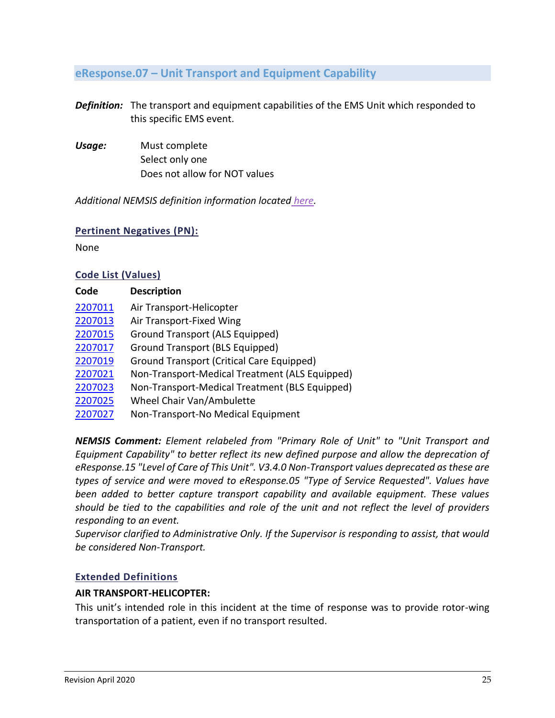# <span id="page-25-0"></span>**eResponse.07 – Unit Transport and Equipment Capability**

*Definition:* The transport and equipment capabilities of the EMS Unit which responded to this specific EMS event.

*Usage:* Must complete Select only one Does not allow for NOT values

*Additional NEMSIS definition information located [here.](https://nemsis.org/media/nemsis_v3/release-3.5.0/DataDictionary/PDFHTML/EMSDEMSTATE/sections/elements/eResponse.07.xml)*

#### **Pertinent Negatives (PN):**

None

#### **Code List (Values)**

| Code    | <b>Description</b>                             |
|---------|------------------------------------------------|
| 2207011 | Air Transport-Helicopter                       |
| 2207013 | Air Transport-Fixed Wing                       |
| 2207015 | Ground Transport (ALS Equipped)                |
| 2207017 | Ground Transport (BLS Equipped)                |
| 2207019 | Ground Transport (Critical Care Equipped)      |
| 2207021 | Non-Transport-Medical Treatment (ALS Equipped) |
| 2207023 | Non-Transport-Medical Treatment (BLS Equipped) |
| 2207025 | Wheel Chair Van/Ambulette                      |
| 2207027 | Non-Transport-No Medical Equipment             |

*NEMSIS Comment: Element relabeled from "Primary Role of Unit" to "Unit Transport and Equipment Capability" to better reflect its new defined purpose and allow the deprecation of eResponse.15 "Level of Care of This Unit". V3.4.0 Non-Transport values deprecated as these are types of service and were moved to eResponse.05 "Type of Service Requested". Values have been added to better capture transport capability and available equipment. These values should be tied to the capabilities and role of the unit and not reflect the level of providers responding to an event.*

*Supervisor clarified to Administrative Only. If the Supervisor is responding to assist, that would be considered Non-Transport.* 

# **Extended Definitions**

#### <span id="page-25-1"></span>**AIR TRANSPORT-HELICOPTER:**

This unit's intended role in this incident at the time of response was to provide rotor-wing transportation of a patient, even if no transport resulted.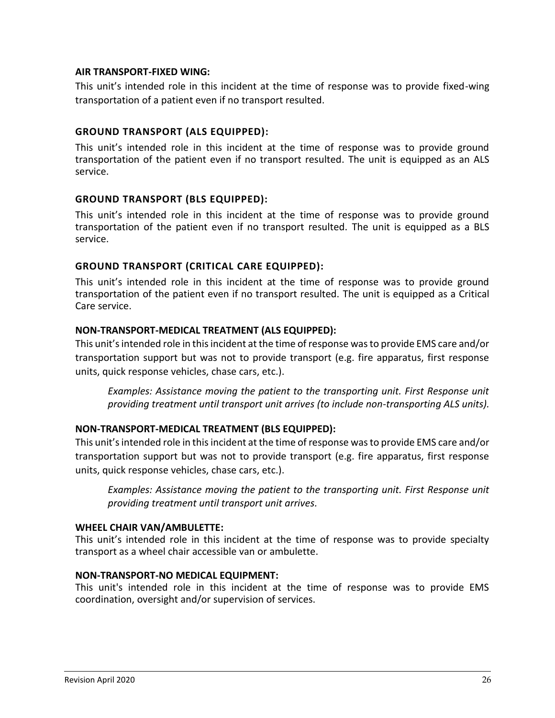#### <span id="page-26-0"></span>**AIR TRANSPORT-FIXED WING:**

This unit's intended role in this incident at the time of response was to provide fixed-wing transportation of a patient even if no transport resulted.

# <span id="page-26-1"></span>**GROUND TRANSPORT (ALS EQUIPPED):**

This unit's intended role in this incident at the time of response was to provide ground transportation of the patient even if no transport resulted. The unit is equipped as an ALS service.

# <span id="page-26-2"></span>**GROUND TRANSPORT (BLS EQUIPPED):**

This unit's intended role in this incident at the time of response was to provide ground transportation of the patient even if no transport resulted. The unit is equipped as a BLS service.

# <span id="page-26-3"></span>**GROUND TRANSPORT (CRITICAL CARE EQUIPPED):**

This unit's intended role in this incident at the time of response was to provide ground transportation of the patient even if no transport resulted. The unit is equipped as a Critical Care service.

#### <span id="page-26-4"></span>**NON-TRANSPORT-MEDICAL TREATMENT (ALS EQUIPPED):**

This unit's intended role in this incident at the time of response was to provide EMS care and/or transportation support but was not to provide transport (e.g. fire apparatus, first response units, quick response vehicles, chase cars, etc.).

*Examples: Assistance moving the patient to the transporting unit. First Response unit providing treatment until transport unit arrives (to include non-transporting ALS units).*

#### <span id="page-26-5"></span>**NON-TRANSPORT-MEDICAL TREATMENT (BLS EQUIPPED):**

This unit's intended role in this incident at the time of response was to provide EMS care and/or transportation support but was not to provide transport (e.g. fire apparatus, first response units, quick response vehicles, chase cars, etc.).

*Examples: Assistance moving the patient to the transporting unit. First Response unit providing treatment until transport unit arrives.*

#### <span id="page-26-6"></span>**WHEEL CHAIR VAN/AMBULETTE:**

This unit's intended role in this incident at the time of response was to provide specialty transport as a wheel chair accessible van or ambulette.

#### <span id="page-26-7"></span>**NON-TRANSPORT-NO MEDICAL EQUIPMENT:**

This unit's intended role in this incident at the time of response was to provide EMS coordination, oversight and/or supervision of services.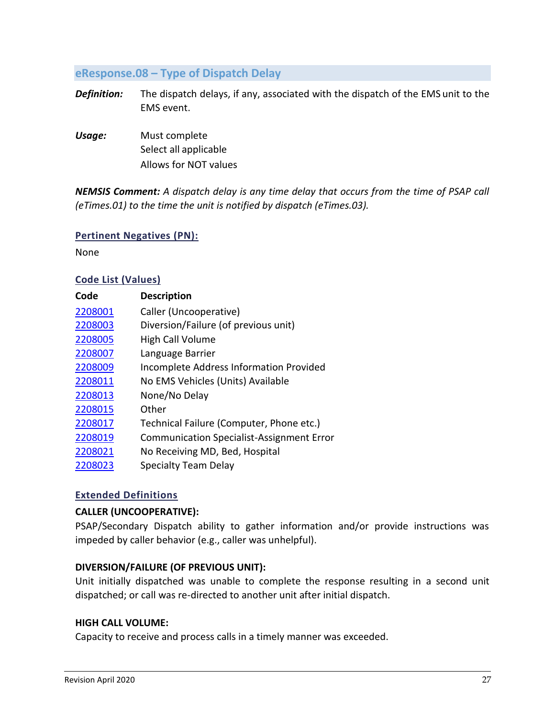# <span id="page-27-0"></span>**eResponse.08 – Type of Dispatch Delay**

- *Definition:* The dispatch delays, if any, associated with the dispatch of the EMS unit to the EMS event.
- *Usage:* Must complete Select all applicable Allows for NOT values

*NEMSIS Comment: A dispatch delay is any time delay that occurs from the time of PSAP call (eTimes.01) to the time the unit is notified by dispatch (eTimes.03).*

#### **Pertinent Negatives (PN):**

None

#### **Code List (Values)**

| Code    | <b>Description</b>                               |
|---------|--------------------------------------------------|
| 2208001 | Caller (Uncooperative)                           |
| 2208003 | Diversion/Failure (of previous unit)             |
| 2208005 | <b>High Call Volume</b>                          |
| 2208007 | Language Barrier                                 |
| 2208009 | <b>Incomplete Address Information Provided</b>   |
| 2208011 | No EMS Vehicles (Units) Available                |
| 2208013 | None/No Delay                                    |
| 2208015 | Other                                            |
| 2208017 | Technical Failure (Computer, Phone etc.)         |
| 2208019 | <b>Communication Specialist-Assignment Error</b> |
| 2208021 | No Receiving MD, Bed, Hospital                   |
| 2208023 | <b>Specialty Team Delay</b>                      |

#### **Extended Definitions**

# <span id="page-27-1"></span>**CALLER (UNCOOPERATIVE):**

PSAP/Secondary Dispatch ability to gather information and/or provide instructions was impeded by caller behavior (e.g., caller was unhelpful).

#### <span id="page-27-2"></span>**DIVERSION/FAILURE (OF PREVIOUS UNIT):**

Unit initially dispatched was unable to complete the response resulting in a second unit dispatched; or call was re-directed to another unit after initial dispatch.

#### <span id="page-27-3"></span>**HIGH CALL VOLUME:**

Capacity to receive and process calls in a timely manner was exceeded.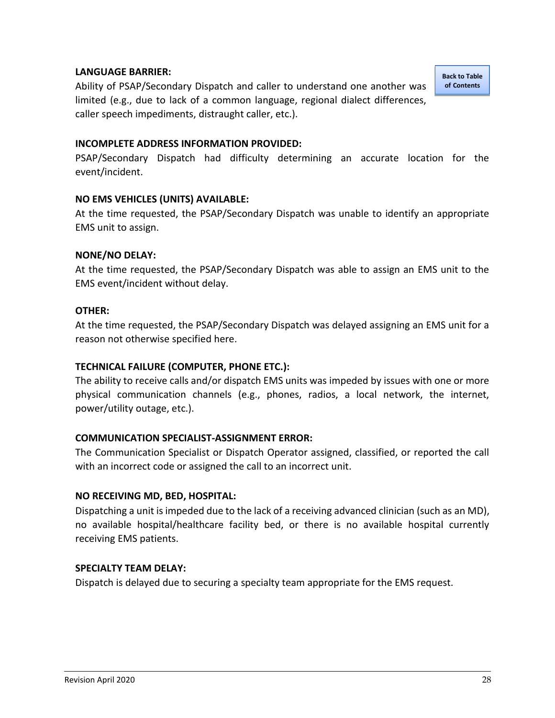# <span id="page-28-0"></span>**LANGUAGE BARRIER:**

Ability of PSAP/Secondary Dispatch and caller to understand one another was limited (e.g., due to lack of a common language, regional dialect differences, caller speech impediments, distraught caller, etc.).

#### <span id="page-28-1"></span>**INCOMPLETE ADDRESS INFORMATION PROVIDED:**

PSAP/Secondary Dispatch had difficulty determining an accurate location for the event/incident.

#### <span id="page-28-2"></span>**NO EMS VEHICLES (UNITS) AVAILABLE:**

At the time requested, the PSAP/Secondary Dispatch was unable to identify an appropriate EMS unit to assign.

#### <span id="page-28-3"></span>**NONE/NO DELAY:**

At the time requested, the PSAP/Secondary Dispatch was able to assign an EMS unit to the EMS event/incident without delay.

#### <span id="page-28-4"></span>**OTHER:**

At the time requested, the PSAP/Secondary Dispatch was delayed assigning an EMS unit for a reason not otherwise specified here.

#### <span id="page-28-5"></span>**TECHNICAL FAILURE (COMPUTER, PHONE ETC.):**

The ability to receive calls and/or dispatch EMS units was impeded by issues with one or more physical communication channels (e.g., phones, radios, a local network, the internet, power/utility outage, etc.).

#### <span id="page-28-6"></span>**COMMUNICATION SPECIALIST-ASSIGNMENT ERROR:**

The Communication Specialist or Dispatch Operator assigned, classified, or reported the call with an incorrect code or assigned the call to an incorrect unit.

#### <span id="page-28-7"></span>**NO RECEIVING MD, BED, HOSPITAL:**

Dispatching a unit is impeded due to the lack of a receiving advanced clinician (such as an MD), no available hospital/healthcare facility bed, or there is no available hospital currently receiving EMS patients.

#### <span id="page-28-8"></span>**SPECIALTY TEAM DELAY:**

Dispatch is delayed due to securing a specialty team appropriate for the EMS request.

**[Back to Table](#page-1-0)  of [Contents](#page-1-0)**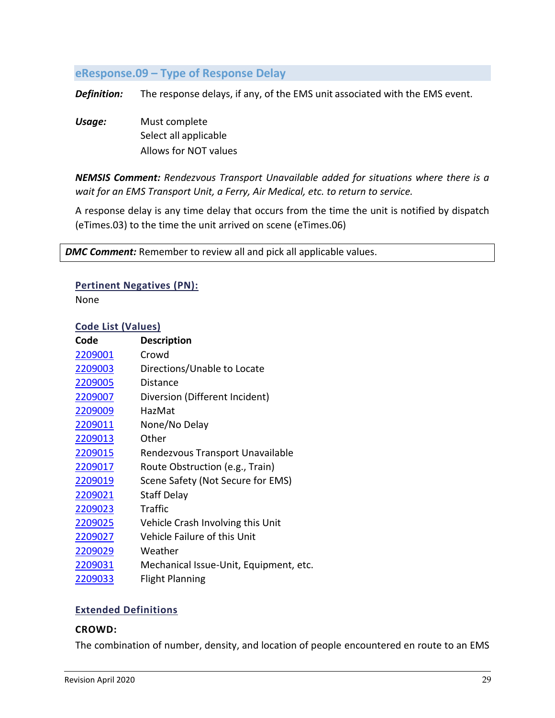# <span id="page-29-0"></span>**eResponse.09 – Type of Response Delay**

*Definition:* The response delays, if any, of the EMS unit associated with the EMS event.

*Usage:* Must complete Select all applicable Allows for NOT values

*NEMSIS Comment: Rendezvous Transport Unavailable added for situations where there is a wait for an EMS Transport Unit, a Ferry, Air Medical, etc. to return to service.*

A response delay is any time delay that occurs from the time the unit is notified by dispatch (eTimes.03) to the time the unit arrived on scene (eTimes.06)

**DMC Comment:** Remember to review all and pick all applicable values.

#### **Pertinent Negatives (PN):**

None

#### **Code List (Values)**

| Code    | <b>Description</b>                     |
|---------|----------------------------------------|
| 2209001 | Crowd                                  |
| 2209003 | Directions/Unable to Locate            |
| 2209005 | Distance                               |
| 2209007 | Diversion (Different Incident)         |
| 2209009 | HazMat                                 |
| 2209011 | None/No Delay                          |
| 2209013 | Other                                  |
| 2209015 | Rendezvous Transport Unavailable       |
| 2209017 | Route Obstruction (e.g., Train)        |
| 2209019 | Scene Safety (Not Secure for EMS)      |
| 2209021 | <b>Staff Delay</b>                     |
| 2209023 | <b>Traffic</b>                         |
| 2209025 | Vehicle Crash Involving this Unit      |
| 2209027 | Vehicle Failure of this Unit           |
| 2209029 | Weather                                |
| 2209031 | Mechanical Issue-Unit, Equipment, etc. |
| 2209033 | <b>Flight Planning</b>                 |

#### **Extended Definitions**

#### <span id="page-29-1"></span>**CROWD:**

The combination of number, density, and location of people encountered en route to an EMS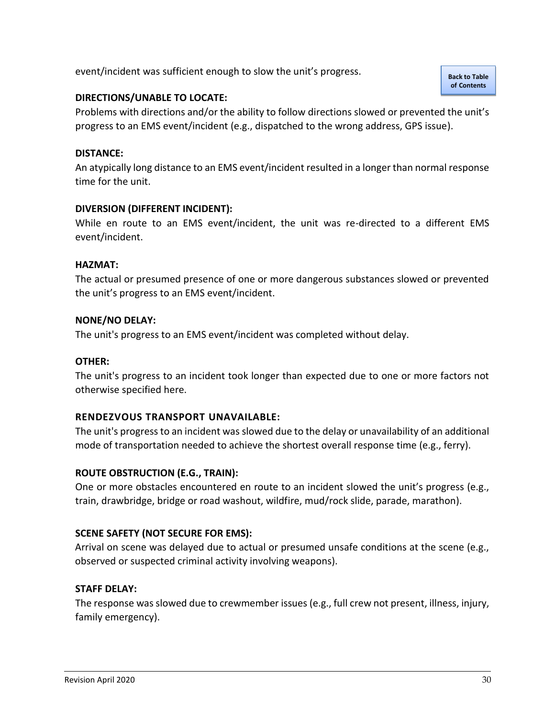event/incident was sufficient enough to slow the unit's progress.

# <span id="page-30-0"></span>**DIRECTIONS/UNABLE TO LOCATE:**

Problems with directions and/or the ability to follow directions slowed or prevented the unit's progress to an EMS event/incident (e.g., dispatched to the wrong address, GPS issue).

## <span id="page-30-1"></span>**DISTANCE:**

An atypically long distance to an EMS event/incident resulted in a longer than normal response time for the unit.

# <span id="page-30-2"></span>**DIVERSION (DIFFERENT INCIDENT):**

While en route to an EMS event/incident, the unit was re-directed to a different EMS event/incident.

# <span id="page-30-3"></span>**HAZMAT:**

The actual or presumed presence of one or more dangerous substances slowed or prevented the unit's progress to an EMS event/incident.

# <span id="page-30-4"></span>**NONE/NO DELAY:**

The unit's progress to an EMS event/incident was completed without delay.

# <span id="page-30-5"></span>**OTHER:**

The unit's progress to an incident took longer than expected due to one or more factors not otherwise specified here.

#### <span id="page-30-6"></span>**RENDEZVOUS TRANSPORT UNAVAILABLE:**

The unit's progress to an incident was slowed due to the delay or unavailability of an additional mode of transportation needed to achieve the shortest overall response time (e.g., ferry).

#### <span id="page-30-7"></span>**ROUTE OBSTRUCTION (E.G., TRAIN):**

One or more obstacles encountered en route to an incident slowed the unit's progress (e.g., train, drawbridge, bridge or road washout, wildfire, mud/rock slide, parade, marathon).

# <span id="page-30-8"></span>**SCENE SAFETY (NOT SECURE FOR EMS):**

Arrival on scene was delayed due to actual or presumed unsafe conditions at the scene (e.g., observed or suspected criminal activity involving weapons).

#### <span id="page-30-9"></span>**STAFF DELAY:**

The response was slowed due to crewmember issues (e.g., full crew not present, illness, injury, family emergency).

**[Back to Table](#page-1-0)  of [Contents](#page-1-0)**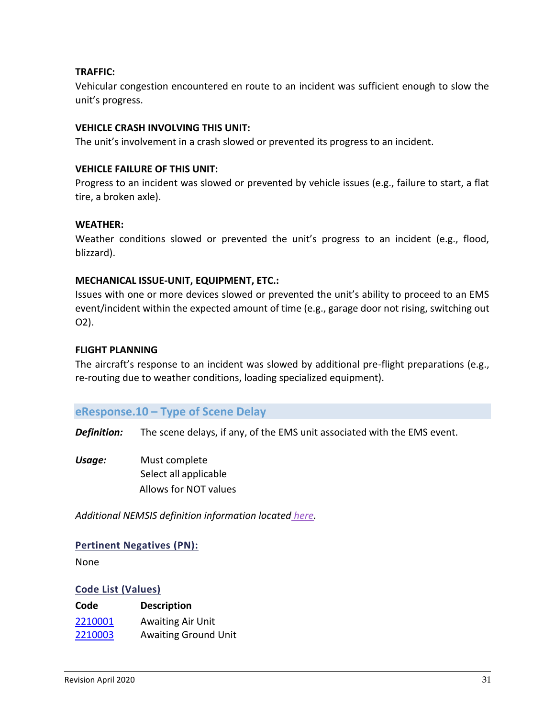# <span id="page-31-1"></span>**TRAFFIC:**

Vehicular congestion encountered en route to an incident was sufficient enough to slow the unit's progress.

## <span id="page-31-2"></span>**VEHICLE CRASH INVOLVING THIS UNIT:**

The unit's involvement in a crash slowed or prevented its progress to an incident.

## <span id="page-31-3"></span>**VEHICLE FAILURE OF THIS UNIT:**

Progress to an incident was slowed or prevented by vehicle issues (e.g., failure to start, a flat tire, a broken axle).

#### <span id="page-31-4"></span>**WEATHER:**

Weather conditions slowed or prevented the unit's progress to an incident (e.g., flood, blizzard).

#### <span id="page-31-5"></span>**MECHANICAL ISSUE-UNIT, EQUIPMENT, ETC.:**

Issues with one or more devices slowed or prevented the unit's ability to proceed to an EMS event/incident within the expected amount of time (e.g., garage door not rising, switching out O2).

# <span id="page-31-6"></span>**FLIGHT PLANNING**

The aircraft's response to an incident was slowed by additional pre-flight preparations (e.g., re-routing due to weather conditions, loading specialized equipment).

# <span id="page-31-0"></span>**eResponse.10 – Type of Scene Delay**

*Definition:* The scene delays, if any, of the EMS unit associated with the EMS event.

*Usage:* Must complete Select all applicable Allows for NOT values

*Additional NEMSIS definition information located [here.](https://nemsis.org/media/nemsis_v3/release-3.5.0/DataDictionary/PDFHTML/EMSDEMSTATE/sections/elements/eResponse.10.xml)*

#### **Pertinent Negatives (PN):**

None

#### **Code List (Values)**

| Code    | <b>Description</b>          |
|---------|-----------------------------|
| 2210001 | <b>Awaiting Air Unit</b>    |
| 2210003 | <b>Awaiting Ground Unit</b> |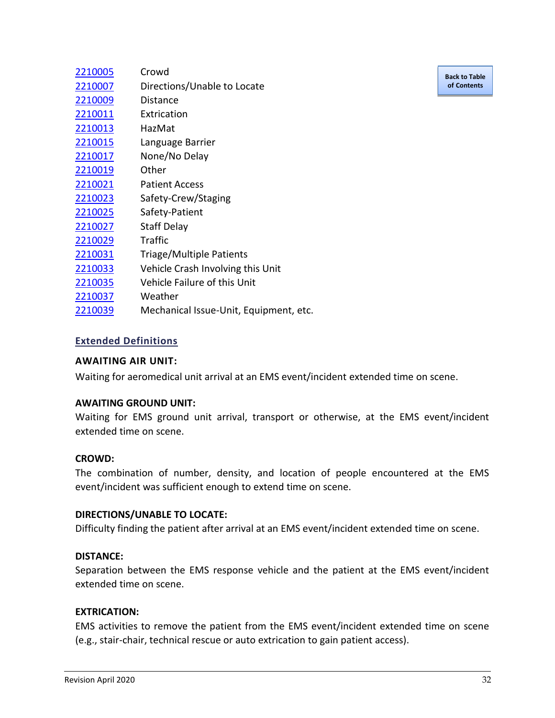| Crowd                                  |
|----------------------------------------|
| Directions/Unable to Locate            |
| Distance                               |
| Extrication                            |
| HazMat                                 |
| Language Barrier                       |
| None/No Delay                          |
| Other                                  |
| <b>Patient Access</b>                  |
| Safety-Crew/Staging                    |
| Safety-Patient                         |
| <b>Staff Delay</b>                     |
| <b>Traffic</b>                         |
| Triage/Multiple Patients               |
| Vehicle Crash Involving this Unit      |
| Vehicle Failure of this Unit           |
| Weather                                |
| Mechanical Issue-Unit, Equipment, etc. |
|                                        |

# **Extended Definitions**

#### <span id="page-32-0"></span>**AWAITING AIR UNIT:**

Waiting for aeromedical unit arrival at an EMS event/incident extended time on scene.

#### <span id="page-32-1"></span>**AWAITING GROUND UNIT:**

Waiting for EMS ground unit arrival, transport or otherwise, at the EMS event/incident extended time on scene.

#### <span id="page-32-2"></span>**CROWD:**

The combination of number, density, and location of people encountered at the EMS event/incident was sufficient enough to extend time on scene.

#### <span id="page-32-3"></span>**DIRECTIONS/UNABLE TO LOCATE:**

Difficulty finding the patient after arrival at an EMS event/incident extended time on scene.

#### <span id="page-32-4"></span>**DISTANCE:**

Separation between the EMS response vehicle and the patient at the EMS event/incident extended time on scene.

#### <span id="page-32-5"></span>**EXTRICATION:**

EMS activities to remove the patient from the EMS event/incident extended time on scene (e.g., stair-chair, technical rescue or auto extrication to gain patient access).

**[Back to Table](#page-1-0)  of [Contents](#page-1-0)**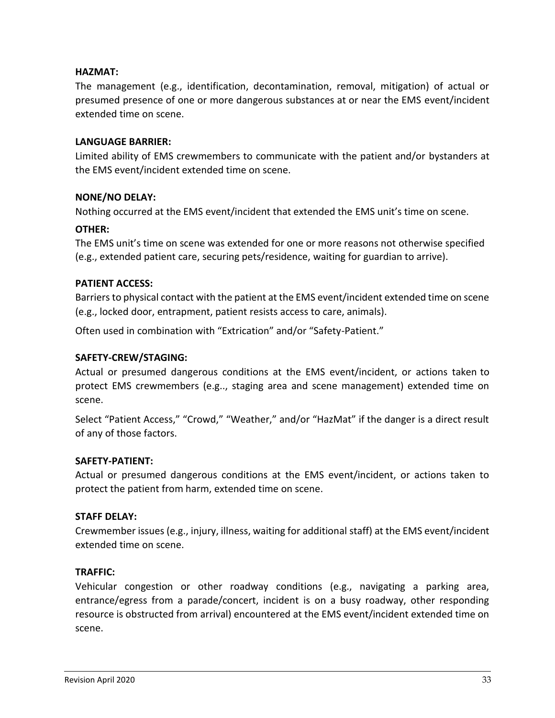# <span id="page-33-0"></span>**HAZMAT:**

The management (e.g., identification, decontamination, removal, mitigation) of actual or presumed presence of one or more dangerous substances at or near the EMS event/incident extended time on scene.

## <span id="page-33-1"></span>**LANGUAGE BARRIER:**

Limited ability of EMS crewmembers to communicate with the patient and/or bystanders at the EMS event/incident extended time on scene.

#### <span id="page-33-2"></span>**NONE/NO DELAY:**

Nothing occurred at the EMS event/incident that extended the EMS unit's time on scene.

#### <span id="page-33-3"></span>**OTHER:**

The EMS unit's time on scene was extended for one or more reasons not otherwise specified (e.g., extended patient care, securing pets/residence, waiting for guardian to arrive).

# <span id="page-33-4"></span>**PATIENT ACCESS:**

Barriers to physical contact with the patient at the EMS event/incident extended time on scene (e.g., locked door, entrapment, patient resists access to care, animals).

Often used in combination with "Extrication" and/or "Safety-Patient."

#### <span id="page-33-5"></span>**SAFETY-CREW/STAGING:**

Actual or presumed dangerous conditions at the EMS event/incident, or actions taken to protect EMS crewmembers (e.g.., staging area and scene management) extended time on scene.

Select "Patient Access," "Crowd," "Weather," and/or "HazMat" if the danger is a direct result of any of those factors.

#### <span id="page-33-6"></span>**SAFETY-PATIENT:**

Actual or presumed dangerous conditions at the EMS event/incident, or actions taken to protect the patient from harm, extended time on scene.

#### <span id="page-33-7"></span>**STAFF DELAY:**

Crewmember issues (e.g., injury, illness, waiting for additional staff) at the EMS event/incident extended time on scene.

#### <span id="page-33-8"></span>**TRAFFIC:**

Vehicular congestion or other roadway conditions (e.g., navigating a parking area, entrance/egress from a parade/concert, incident is on a busy roadway, other responding resource is obstructed from arrival) encountered at the EMS event/incident extended time on scene.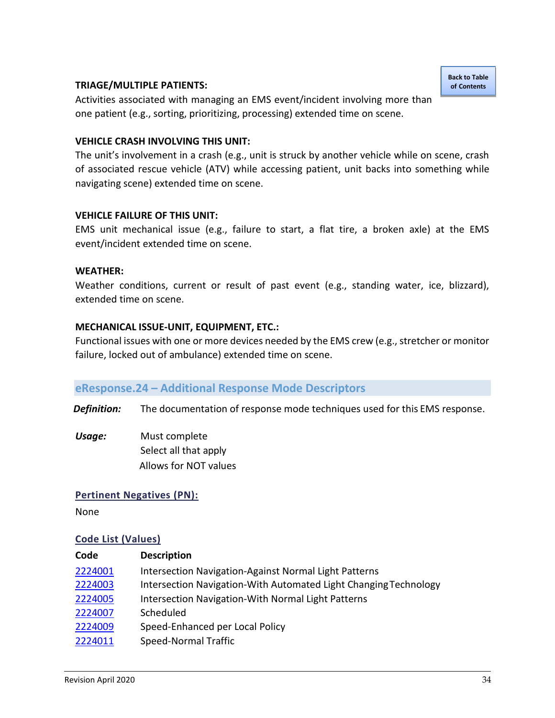#### <span id="page-34-1"></span>**TRIAGE/MULTIPLE PATIENTS:**

Activities associated with managing an EMS event/incident involving more than one patient (e.g., sorting, prioritizing, processing) extended time on scene.

#### <span id="page-34-2"></span>**VEHICLE CRASH INVOLVING THIS UNIT:**

The unit's involvement in a crash (e.g., unit is struck by another vehicle while on scene, crash of associated rescue vehicle (ATV) while accessing patient, unit backs into something while navigating scene) extended time on scene.

#### <span id="page-34-3"></span>**VEHICLE FAILURE OF THIS UNIT:**

EMS unit mechanical issue (e.g., failure to start, a flat tire, a broken axle) at the EMS event/incident extended time on scene.

#### <span id="page-34-4"></span>**WEATHER:**

Weather conditions, current or result of past event (e.g., standing water, ice, blizzard), extended time on scene.

#### <span id="page-34-5"></span>**MECHANICAL ISSUE-UNIT, EQUIPMENT, ETC.:**

Functional issues with one or more devices needed by the EMS crew (e.g., stretcher or monitor failure, locked out of ambulance) extended time on scene.

#### <span id="page-34-0"></span>**eResponse.24 – Additional Response Mode Descriptors**

*Definition:* The documentation of response mode techniques used for this EMS response.

*Usage:* Must complete Select all that apply Allows for NOT values

#### **Pertinent Negatives (PN):**

None

#### **Code List (Values)**

| Code    | <b>Description</b>                                               |
|---------|------------------------------------------------------------------|
| 2224001 | Intersection Navigation-Against Normal Light Patterns            |
| 2224003 | Intersection Navigation-With Automated Light Changing Technology |
| 2224005 | Intersection Navigation-With Normal Light Patterns               |
| 2224007 | Scheduled                                                        |
| 2224009 | Speed-Enhanced per Local Policy                                  |
| 2224011 | Speed-Normal Traffic                                             |

**[Back to Table](#page-1-0)  of [Contents](#page-1-0)**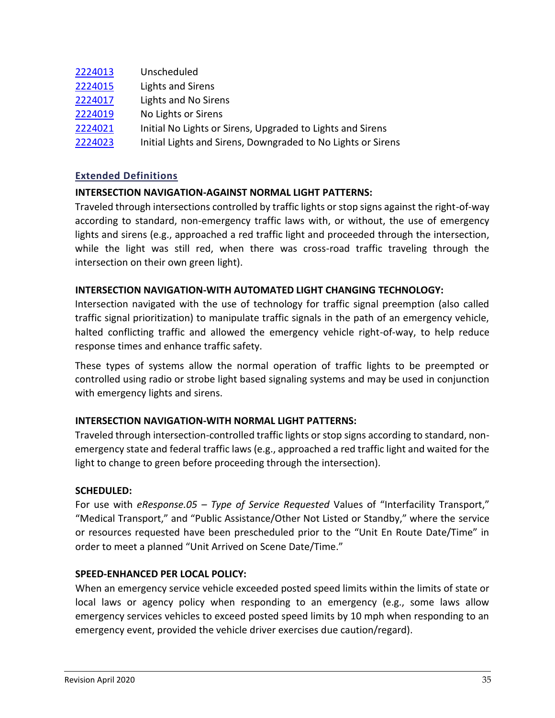| 2224013 | Unscheduled                                                |
|---------|------------------------------------------------------------|
| 2224015 | Lights and Sirens                                          |
| 2224017 | Lights and No Sirens                                       |
| 2224019 | No Lights or Sirens                                        |
| 2224021 | Initial No Lights or Sirens, Upgraded to Lights and Sirens |

[2224023](#page-36-6) Initial Lights and Sirens, Downgraded to No Lights or Sirens

# **Extended Definitions**

# <span id="page-35-0"></span>**INTERSECTION NAVIGATION-AGAINST NORMAL LIGHT PATTERNS:**

Traveled through intersections controlled by traffic lights or stop signs against the right-of-way according to standard, non-emergency traffic laws with, or without, the use of emergency lights and sirens (e.g., approached a red traffic light and proceeded through the intersection, while the light was still red, when there was cross-road traffic traveling through the intersection on their own green light).

# <span id="page-35-1"></span>**INTERSECTION NAVIGATION-WITH AUTOMATED LIGHT CHANGING TECHNOLOGY:**

Intersection navigated with the use of technology for traffic signal preemption (also called traffic signal prioritization) to manipulate traffic signals in the path of an emergency vehicle, halted conflicting traffic and allowed the emergency vehicle right-of-way, to help reduce response times and enhance traffic safety.

These types of systems allow the normal operation of traffic lights to be preempted or controlled using radio or strobe light based signaling systems and may be used in conjunction with emergency lights and sirens.

# <span id="page-35-2"></span>**INTERSECTION NAVIGATION-WITH NORMAL LIGHT PATTERNS:**

Traveled through intersection-controlled traffic lights or stop signs according to standard, nonemergency state and federal traffic laws (e.g., approached a red traffic light and waited for the light to change to green before proceeding through the intersection).

# <span id="page-35-3"></span>**SCHEDULED:**

For use with *eResponse.05 – Type of Service Requested* Values of "Interfacility Transport," "Medical Transport," and "Public Assistance/Other Not Listed or Standby," where the service or resources requested have been prescheduled prior to the "Unit En Route Date/Time" in order to meet a planned "Unit Arrived on Scene Date/Time."

# <span id="page-35-4"></span>**SPEED-ENHANCED PER LOCAL POLICY:**

When an emergency service vehicle exceeded posted speed limits within the limits of state or local laws or agency policy when responding to an emergency (e.g., some laws allow emergency services vehicles to exceed posted speed limits by 10 mph when responding to an emergency event, provided the vehicle driver exercises due caution/regard).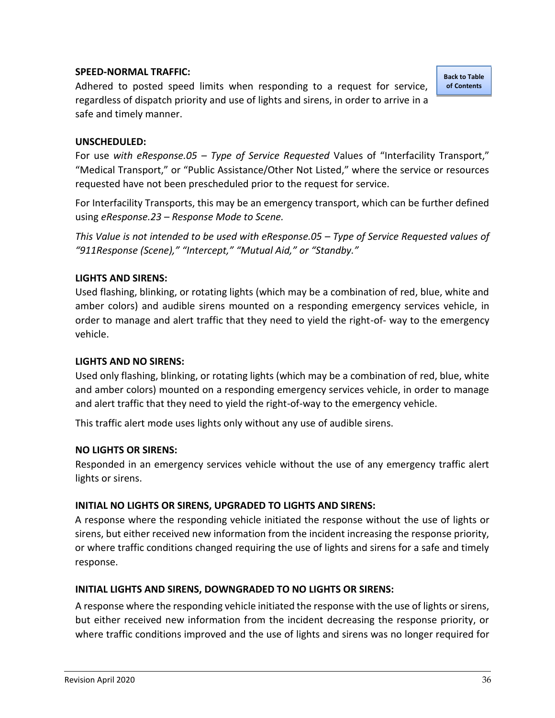# <span id="page-36-0"></span>**SPEED-NORMAL TRAFFIC:**

Adhered to posted speed limits when responding to a request for service, regardless of dispatch priority and use of lights and sirens, in order to arrive in a safe and timely manner.

**[Back to Table](#page-1-0)  of [Contents](#page-1-0)**

## <span id="page-36-1"></span>**UNSCHEDULED:**

For use *with eResponse.05 – Type of Service Requested* Values of "Interfacility Transport," "Medical Transport," or "Public Assistance/Other Not Listed," where the service or resources requested have not been prescheduled prior to the request for service.

For Interfacility Transports, this may be an emergency transport, which can be further defined using *eResponse.23 – Response Mode to Scene.*

*This Value is not intended to be used with eResponse.05 – Type of Service Requested values of "911Response (Scene)," "Intercept," "Mutual Aid," or "Standby."*

#### <span id="page-36-2"></span>**LIGHTS AND SIRENS:**

Used flashing, blinking, or rotating lights (which may be a combination of red, blue, white and amber colors) and audible sirens mounted on a responding emergency services vehicle, in order to manage and alert traffic that they need to yield the right-of- way to the emergency vehicle.

#### <span id="page-36-3"></span>**LIGHTS AND NO SIRENS:**

Used only flashing, blinking, or rotating lights (which may be a combination of red, blue, white and amber colors) mounted on a responding emergency services vehicle, in order to manage and alert traffic that they need to yield the right-of-way to the emergency vehicle.

This traffic alert mode uses lights only without any use of audible sirens.

#### <span id="page-36-4"></span>**NO LIGHTS OR SIRENS:**

Responded in an emergency services vehicle without the use of any emergency traffic alert lights or sirens.

#### <span id="page-36-5"></span>**INITIAL NO LIGHTS OR SIRENS, UPGRADED TO LIGHTS AND SIRENS:**

A response where the responding vehicle initiated the response without the use of lights or sirens, but either received new information from the incident increasing the response priority, or where traffic conditions changed requiring the use of lights and sirens for a safe and timely response.

#### <span id="page-36-6"></span>**INITIAL LIGHTS AND SIRENS, DOWNGRADED TO NO LIGHTS OR SIRENS:**

A response where the responding vehicle initiated the response with the use of lights or sirens, but either received new information from the incident decreasing the response priority, or where traffic conditions improved and the use of lights and sirens was no longer required for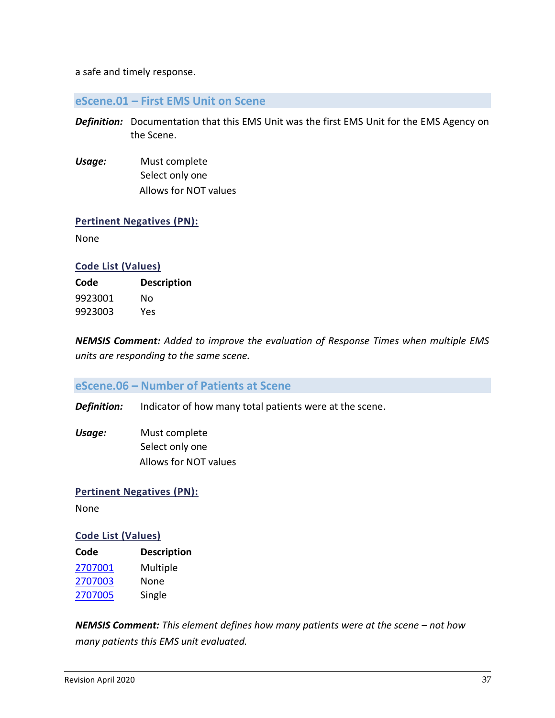a safe and timely response.

## <span id="page-37-0"></span>**eScene.01 – First EMS Unit on Scene**

- *Definition:* Documentation that this EMS Unit was the first EMS Unit for the EMS Agency on the Scene.
- *Usage:* Must complete Select only one Allows for NOT values

#### **Pertinent Negatives (PN):**

None

#### **Code List (Values)**

| Code    | <b>Description</b> |
|---------|--------------------|
| 9923001 | Nο                 |
| 9923003 | Yes                |

*NEMSIS Comment: Added to improve the evaluation of Response Times when multiple EMS units are responding to the same scene.* 

# <span id="page-37-1"></span>**eScene.06 – Number of Patients at Scene**

*Definition:* Indicator of how many total patients were at the scene.

*Usage:* Must complete Select only one Allows for NOT values

**Pertinent Negatives (PN):**

None

#### **Code List (Values)**

| Code    | <b>Description</b> |
|---------|--------------------|
| 2707001 | Multiple           |
| 2707003 | None               |
| 2707005 | Single             |

*NEMSIS Comment: This element defines how many patients were at the scene – not how many patients this EMS unit evaluated.*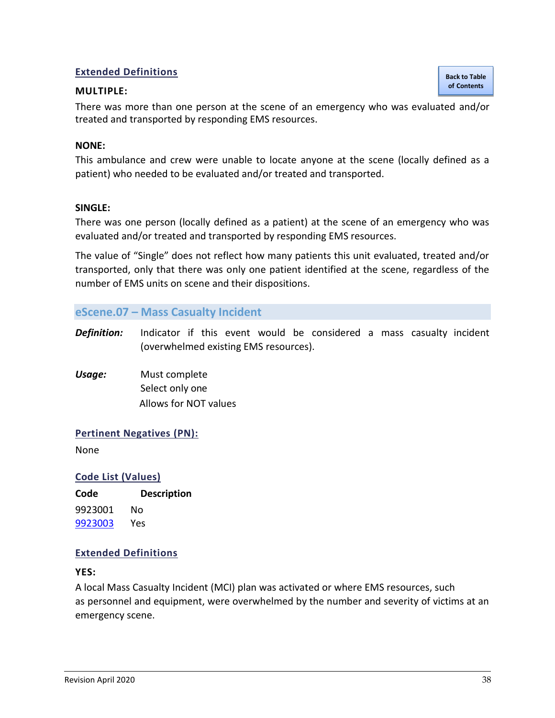# **Extended Definitions**

#### <span id="page-38-1"></span>**MULTIPLE:**

There was more than one person at the scene of an emergency who was evaluated and/or treated and transported by responding EMS resources.

### <span id="page-38-2"></span>**NONE:**

This ambulance and crew were unable to locate anyone at the scene (locally defined as a patient) who needed to be evaluated and/or treated and transported.

#### <span id="page-38-3"></span>**SINGLE:**

There was one person (locally defined as a patient) at the scene of an emergency who was evaluated and/or treated and transported by responding EMS resources.

The value of "Single" does not reflect how many patients this unit evaluated, treated and/or transported, only that there was only one patient identified at the scene, regardless of the number of EMS units on scene and their dispositions.

# <span id="page-38-0"></span>**eScene.07 – Mass Casualty Incident**

- *Definition:* Indicator if this event would be considered a mass casualty incident (overwhelmed existing EMS resources).
- *Usage:* Must complete Select only one Allows for NOT values

#### **Pertinent Negatives (PN):**

None

#### **Code List (Values)**

**Code Description** 9923001 No [9923003](#page-38-4) Yes

#### **Extended Definitions**

#### <span id="page-38-4"></span>**YES:**

A local Mass Casualty Incident (MCI) plan was activated or where EMS resources, such as personnel and equipment, were overwhelmed by the number and severity of victims at an emergency scene.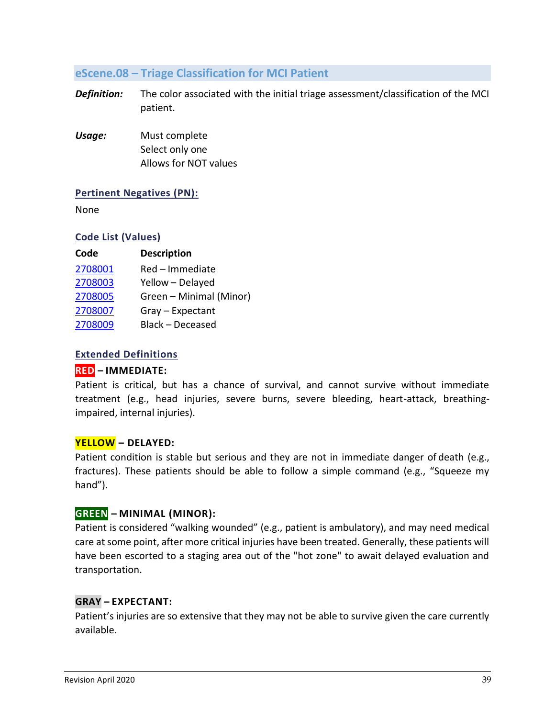# <span id="page-39-0"></span>**eScene.08 – Triage Classification for MCI Patient**

- *Definition:* The color associated with the initial triage assessment/classification of the MCI patient.
- *Usage:* Must complete Select only one Allows for NOT values

# **Pertinent Negatives (PN):**

None

# **Code List (Values)**

| Code    | <b>Description</b>      |
|---------|-------------------------|
| 2708001 | Red - Immediate         |
| 2708003 | Yellow - Delayed        |
| 2708005 | Green - Minimal (Minor) |
| 2708007 | Gray - Expectant        |
| 2708009 | Black - Deceased        |

# **Extended Definitions**

# <span id="page-39-1"></span>**RED – IMMEDIATE:**

Patient is critical, but has a chance of survival, and cannot survive without immediate treatment (e.g., head injuries, severe burns, severe bleeding, heart-attack, breathingimpaired, internal injuries).

#### <span id="page-39-2"></span>**YELLOW – DELAYED:**

Patient condition is stable but serious and they are not in immediate danger of death (e.g., fractures). These patients should be able to follow a simple command (e.g., "Squeeze my hand").

# <span id="page-39-3"></span>**GREEN – MINIMAL (MINOR):**

Patient is considered "walking wounded" (e.g., patient is ambulatory), and may need medical care at some point, after more critical injuries have been treated. Generally, these patients will have been escorted to a staging area out of the "hot zone" to await delayed evaluation and transportation.

# <span id="page-39-4"></span>**GRAY – EXPECTANT:**

Patient's injuries are so extensive that they may not be able to survive given the care currently available.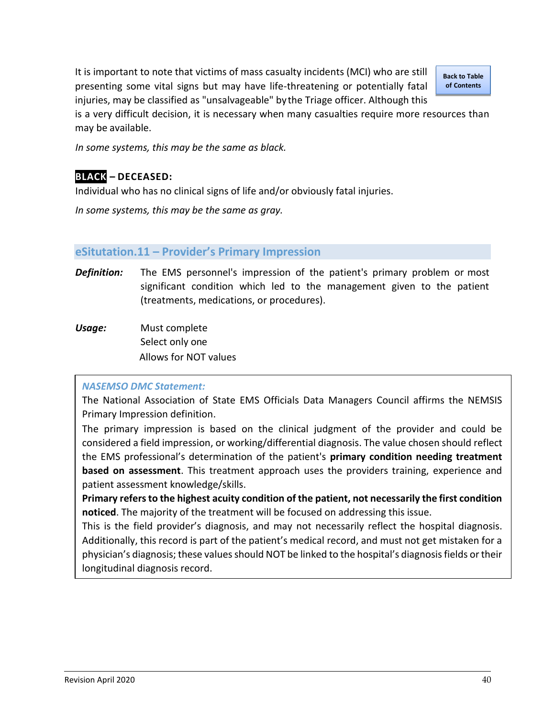It is important to note that victims of mass casualty incidents (MCI) who are still presenting some vital signs but may have life-threatening or potentially fatal injuries, may be classified as "unsalvageable" bythe Triage officer. Although this

**[Back to Table](#page-1-0)  of Contents**

is a very difficult decision, it is necessary when many casualties require more resources than may be available.

*In some systems, this may be the same as black.*

# <span id="page-40-1"></span>**BLACK – DECEASED:**

Individual who has no clinical signs of life and/or obviously fatal injuries.

*In some systems, this may be the same as gray.*

#### <span id="page-40-0"></span>**eSitutation.11 – Provider's Primary Impression**

- *Definition:* The EMS personnel's impression of the patient's primary problem or most significant condition which led to the management given to the patient (treatments, medications, or procedures).
- *Usage:* Must complete Select only one Allows for NOT values

#### *NASEMSO DMC Statement:*

The National Association of State EMS Officials Data Managers Council affirms the NEMSIS Primary Impression definition.

The primary impression is based on the clinical judgment of the provider and could be considered a field impression, or working/differential diagnosis. The value chosen should reflect the EMS professional's determination of the patient's **primary condition needing treatment based on assessment**. This treatment approach uses the providers training, experience and patient assessment knowledge/skills.

**Primary refers to the highest acuity condition of the patient, not necessarily the first condition noticed**. The majority of the treatment will be focused on addressing this issue.

This is the field provider's diagnosis, and may not necessarily reflect the hospital diagnosis. Additionally, this record is part of the patient's medical record, and must not get mistaken for a physician's diagnosis; these values should NOT be linked to the hospital's diagnosis fields or their longitudinal diagnosis record.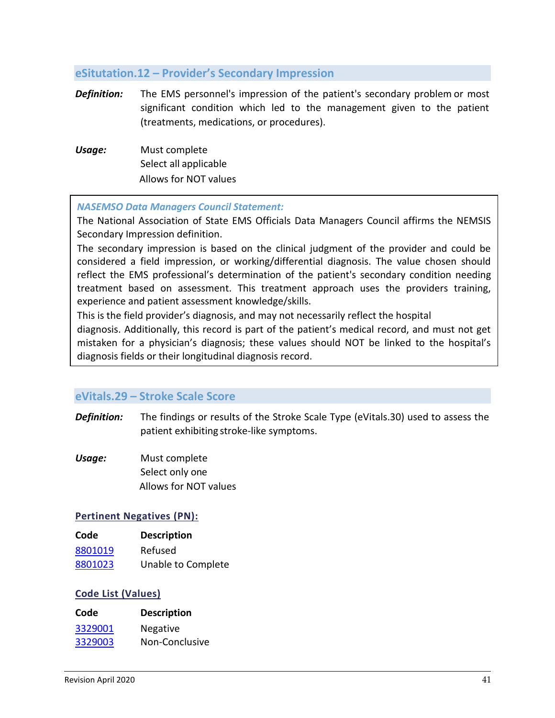# <span id="page-41-0"></span>**eSitutation.12 – Provider's Secondary Impression**

- *Definition:* The EMS personnel's impression of the patient's secondary problem or most significant condition which led to the management given to the patient (treatments, medications, or procedures).
- *Usage:* Must complete Select all applicable Allows for NOT values

#### *NASEMSO Data Managers Council Statement:*

The National Association of State EMS Officials Data Managers Council affirms the NEMSIS Secondary Impression definition.

The secondary impression is based on the clinical judgment of the provider and could be considered a field impression, or working/differential diagnosis. The value chosen should reflect the EMS professional's determination of the patient's secondary condition needing treatment based on assessment. This treatment approach uses the providers training, experience and patient assessment knowledge/skills.

This is the field provider's diagnosis, and may not necessarily reflect the hospital

diagnosis. Additionally, this record is part of the patient's medical record, and must not get mistaken for a physician's diagnosis; these values should NOT be linked to the hospital's diagnosis fields or their longitudinal diagnosis record.

# <span id="page-41-1"></span>**eVitals.29 – Stroke Scale Score**

- **Definition:** The findings or results of the Stroke Scale Type (eVitals.30) used to assess the patient exhibiting stroke-like symptoms.
- *Usage:* Must complete Select only one Allows for NOT values

#### **Pertinent Negatives (PN):**

| Code    | <b>Description</b> |
|---------|--------------------|
| 8801019 | Refused            |
| 8801023 | Unable to Complete |

#### **Code List (Values)**

| Code    | <b>Description</b> |
|---------|--------------------|
| 3329001 | Negative           |
| 3329003 | Non-Conclusive     |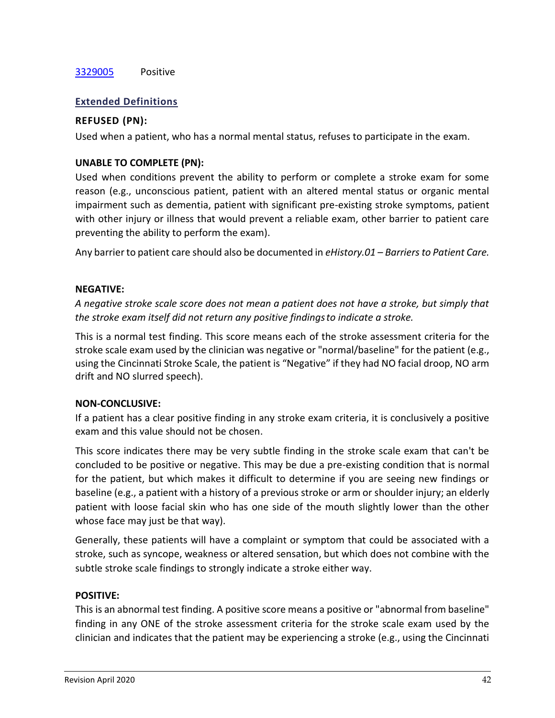# [3329005](#page-42-4) Positive

# **Extended Definitions**

# <span id="page-42-0"></span>**REFUSED (PN):**

Used when a patient, who has a normal mental status, refuses to participate in the exam.

# <span id="page-42-1"></span>**UNABLE TO COMPLETE (PN):**

Used when conditions prevent the ability to perform or complete a stroke exam for some reason (e.g., unconscious patient, patient with an altered mental status or organic mental impairment such as dementia, patient with significant pre-existing stroke symptoms, patient with other injury or illness that would prevent a reliable exam, other barrier to patient care preventing the ability to perform the exam).

Any barrier to patient care should also be documented in *eHistory.01 – Barriers to Patient Care.*

# <span id="page-42-2"></span>**NEGATIVE:**

*A negative stroke scale score does not mean a patient does not have a stroke, but simply that the stroke exam itself did not return any positive findingsto indicate a stroke.*

This is a normal test finding. This score means each of the stroke assessment criteria for the stroke scale exam used by the clinician was negative or "normal/baseline" for the patient (e.g., using the Cincinnati Stroke Scale, the patient is "Negative" if they had NO facial droop, NO arm drift and NO slurred speech).

# <span id="page-42-3"></span>**NON-CONCLUSIVE:**

If a patient has a clear positive finding in any stroke exam criteria, it is conclusively a positive exam and this value should not be chosen.

This score indicates there may be very subtle finding in the stroke scale exam that can't be concluded to be positive or negative. This may be due a pre-existing condition that is normal for the patient, but which makes it difficult to determine if you are seeing new findings or baseline (e.g., a patient with a history of a previous stroke or arm or shoulder injury; an elderly patient with loose facial skin who has one side of the mouth slightly lower than the other whose face may just be that way).

Generally, these patients will have a complaint or symptom that could be associated with a stroke, such as syncope, weakness or altered sensation, but which does not combine with the subtle stroke scale findings to strongly indicate a stroke either way.

# <span id="page-42-4"></span>**POSITIVE:**

This is an abnormal test finding. A positive score means a positive or "abnormal from baseline" finding in any ONE of the stroke assessment criteria for the stroke scale exam used by the clinician and indicates that the patient may be experiencing a stroke (e.g., using the Cincinnati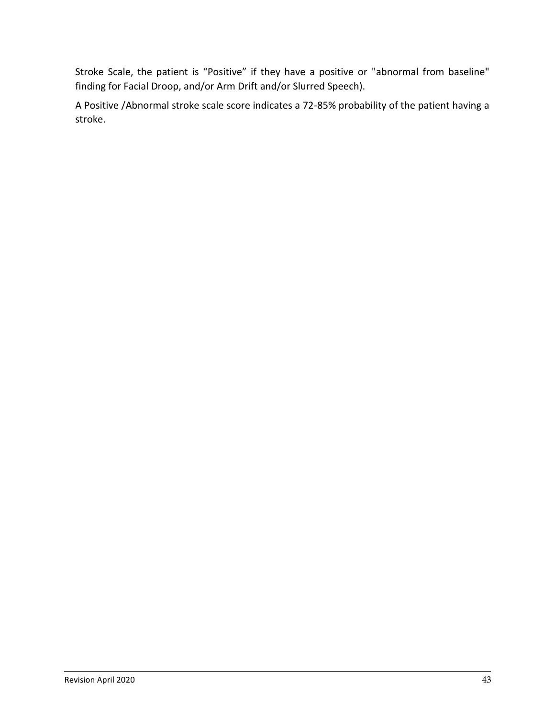Stroke Scale, the patient is "Positive" if they have a positive or "abnormal from baseline" finding for Facial Droop, and/or Arm Drift and/or Slurred Speech).

A Positive /Abnormal stroke scale score indicates a 72-85% probability of the patient having a stroke.